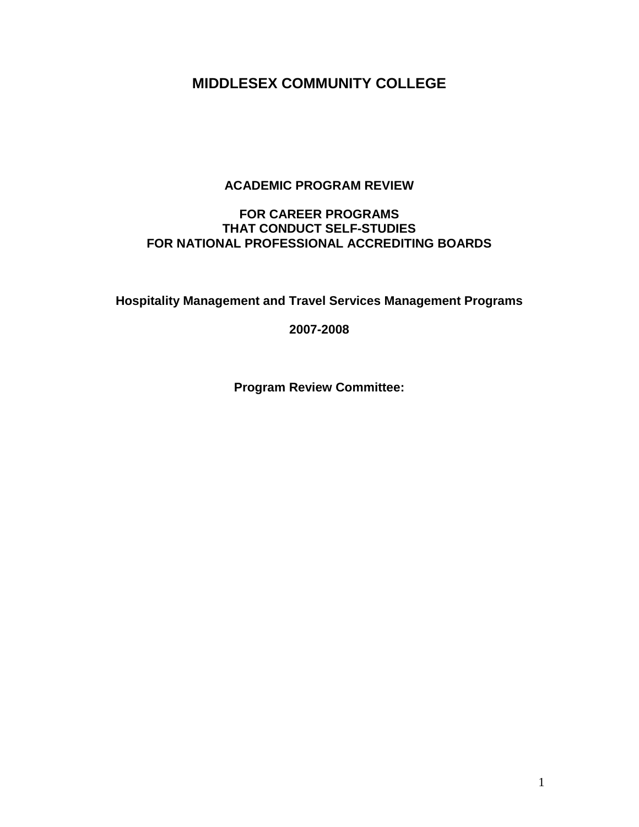# **MIDDLESEX COMMUNITY COLLEGE**

# **ACADEMIC PROGRAM REVIEW**

# **FOR CAREER PROGRAMS THAT CONDUCT SELF-STUDIES FOR NATIONAL PROFESSIONAL ACCREDITING BOARDS**

**Hospitality Management and Travel Services Management Programs** 

**2007-2008**

**Program Review Committee:**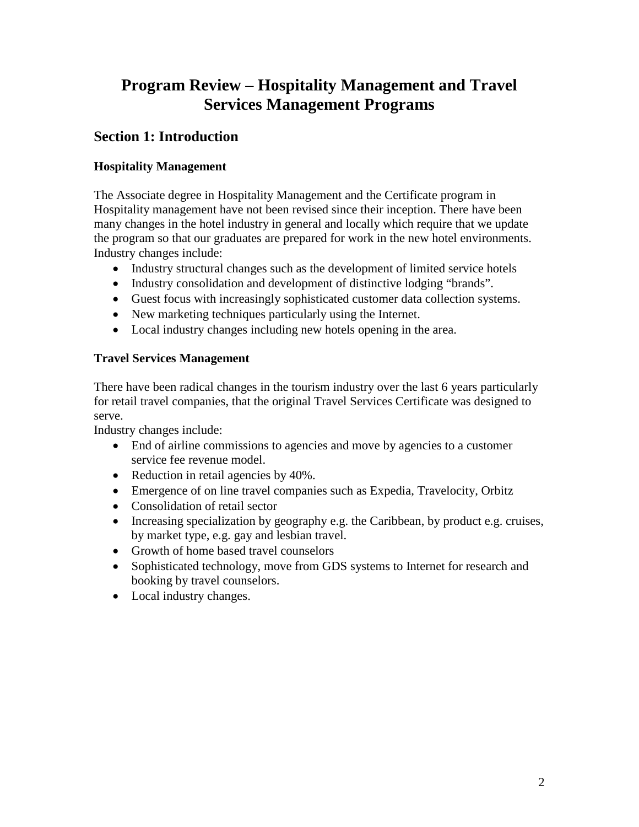# **Program Review – Hospitality Management and Travel Services Management Programs**

# **Section 1: Introduction**

# **Hospitality Management**

The Associate degree in Hospitality Management and the Certificate program in Hospitality management have not been revised since their inception. There have been many changes in the hotel industry in general and locally which require that we update the program so that our graduates are prepared for work in the new hotel environments. Industry changes include:

- Industry structural changes such as the development of limited service hotels
- Industry consolidation and development of distinctive lodging "brands".
- Guest focus with increasingly sophisticated customer data collection systems.
- New marketing techniques particularly using the Internet.
- Local industry changes including new hotels opening in the area.

# **Travel Services Management**

There have been radical changes in the tourism industry over the last 6 years particularly for retail travel companies, that the original Travel Services Certificate was designed to serve.

Industry changes include:

- End of airline commissions to agencies and move by agencies to a customer service fee revenue model.
- Reduction in retail agencies by 40%.
- Emergence of on line travel companies such as Expedia, Travelocity, Orbitz
- Consolidation of retail sector
- Increasing specialization by geography e.g. the Caribbean, by product e.g. cruises, by market type, e.g. gay and lesbian travel.
- Growth of home based travel counselors
- Sophisticated technology, move from GDS systems to Internet for research and booking by travel counselors.
- Local industry changes.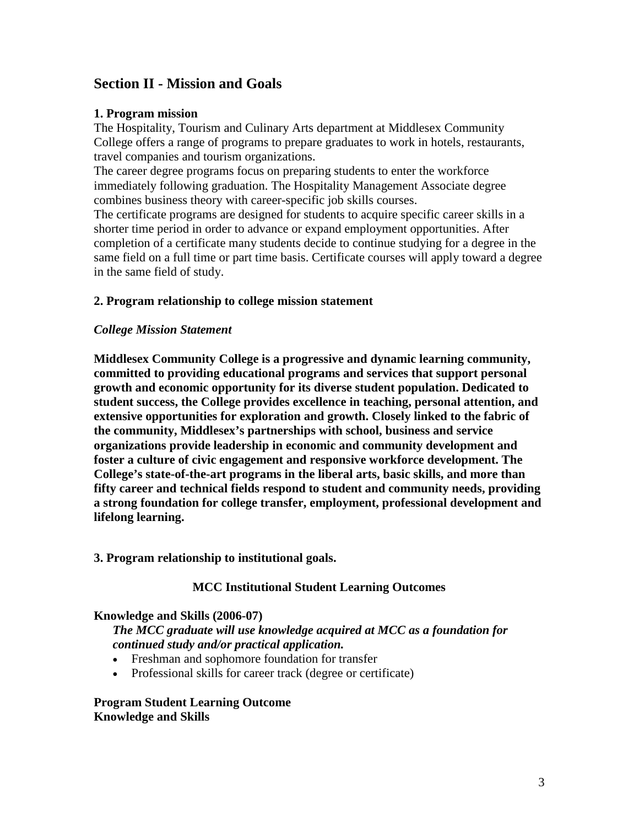# **Section II - Mission and Goals**

#### **1. Program mission**

The Hospitality, Tourism and Culinary Arts department at Middlesex Community College offers a range of programs to prepare graduates to work in hotels, restaurants, travel companies and tourism organizations.

The career degree programs focus on preparing students to enter the workforce immediately following graduation. The Hospitality Management Associate degree combines business theory with career-specific job skills courses.

The certificate programs are designed for students to acquire specific career skills in a shorter time period in order to advance or expand employment opportunities. After completion of a certificate many students decide to continue studying for a degree in the same field on a full time or part time basis. Certificate courses will apply toward a degree in the same field of study.

#### **2. Program relationship to college mission statement**

#### *College Mission Statement*

**Middlesex Community College is a progressive and dynamic learning community, committed to providing educational programs and services that support personal growth and economic opportunity for its diverse student population. Dedicated to student success, the College provides excellence in teaching, personal attention, and extensive opportunities for exploration and growth. Closely linked to the fabric of the community, Middlesex's partnerships with school, business and service organizations provide leadership in economic and community development and foster a culture of civic engagement and responsive workforce development. The College's state-of-the-art programs in the liberal arts, basic skills, and more than fifty career and technical fields respond to student and community needs, providing a strong foundation for college transfer, employment, professional development and lifelong learning.**

#### **3. Program relationship to institutional goals.**

#### **MCC Institutional Student Learning Outcomes**

#### **Knowledge and Skills (2006-07)**

*The MCC graduate will use knowledge acquired at MCC as a foundation for continued study and/or practical application.*

- Freshman and sophomore foundation for transfer
- Professional skills for career track (degree or certificate)

**Program Student Learning Outcome Knowledge and Skills**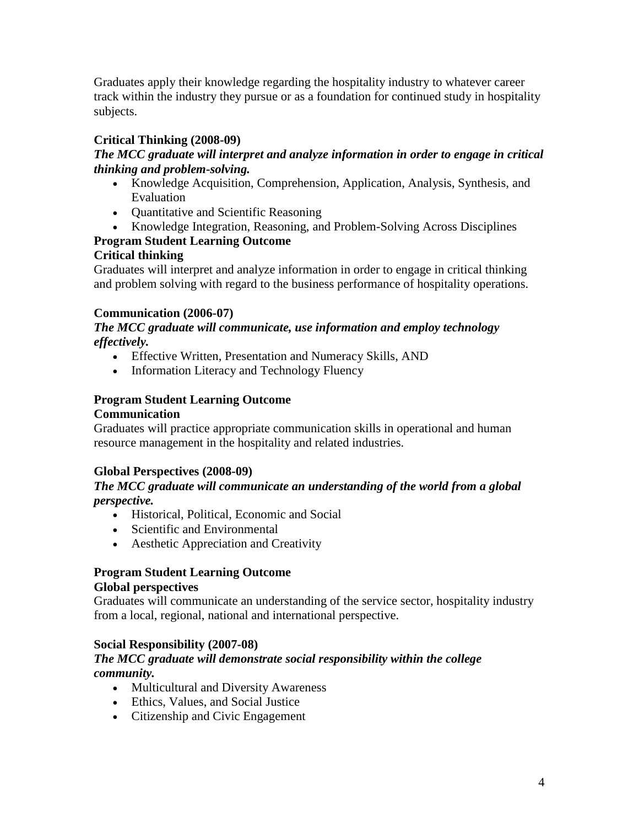Graduates apply their knowledge regarding the hospitality industry to whatever career track within the industry they pursue or as a foundation for continued study in hospitality subjects.

# **Critical Thinking (2008-09)**

# *The MCC graduate will interpret and analyze information in order to engage in critical thinking and problem-solving.*

- Knowledge Acquisition, Comprehension, Application, Analysis, Synthesis, and Evaluation
- Quantitative and Scientific Reasoning
- Knowledge Integration, Reasoning, and Problem-Solving Across Disciplines

# **Program Student Learning Outcome**

# **Critical thinking**

Graduates will interpret and analyze information in order to engage in critical thinking and problem solving with regard to the business performance of hospitality operations.

# **Communication (2006-07)**

#### *The MCC graduate will communicate, use information and employ technology effectively.*

- Effective Written, Presentation and Numeracy Skills, AND
- Information Literacy and Technology Fluency

# **Program Student Learning Outcome**

# **Communication**

Graduates will practice appropriate communication skills in operational and human resource management in the hospitality and related industries.

# **Global Perspectives (2008-09)**

# *The MCC graduate will communicate an understanding of the world from a global perspective.*

- Historical, Political, Economic and Social
- Scientific and Environmental
- Aesthetic Appreciation and Creativity

# **Program Student Learning Outcome**

# **Global perspectives**

Graduates will communicate an understanding of the service sector, hospitality industry from a local, regional, national and international perspective.

# **Social Responsibility (2007-08)**

# *The MCC graduate will demonstrate social responsibility within the college community.*

- Multicultural and Diversity Awareness
- Ethics, Values, and Social Justice
- Citizenship and Civic Engagement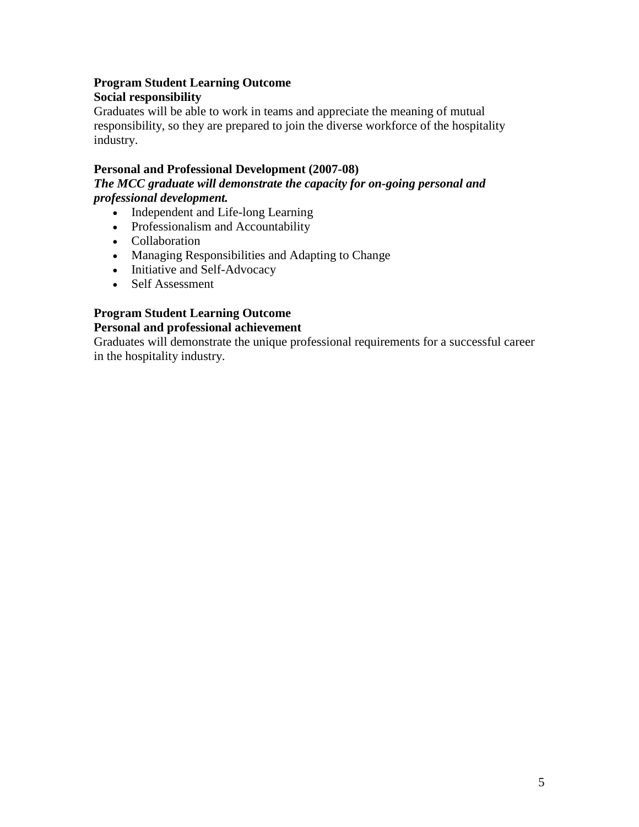# **Program Student Learning Outcome Social responsibility**

Graduates will be able to work in teams and appreciate the meaning of mutual responsibility, so they are prepared to join the diverse workforce of the hospitality industry.

# **Personal and Professional Development (2007-08)**

*The MCC graduate will demonstrate the capacity for on-going personal and professional development.*

- Independent and Life-long Learning
- Professionalism and Accountability
- Collaboration
- Managing Responsibilities and Adapting to Change
- Initiative and Self-Advocacy
- Self Assessment

# **Program Student Learning Outcome**

# **Personal and professional achievement**

Graduates will demonstrate the unique professional requirements for a successful career in the hospitality industry.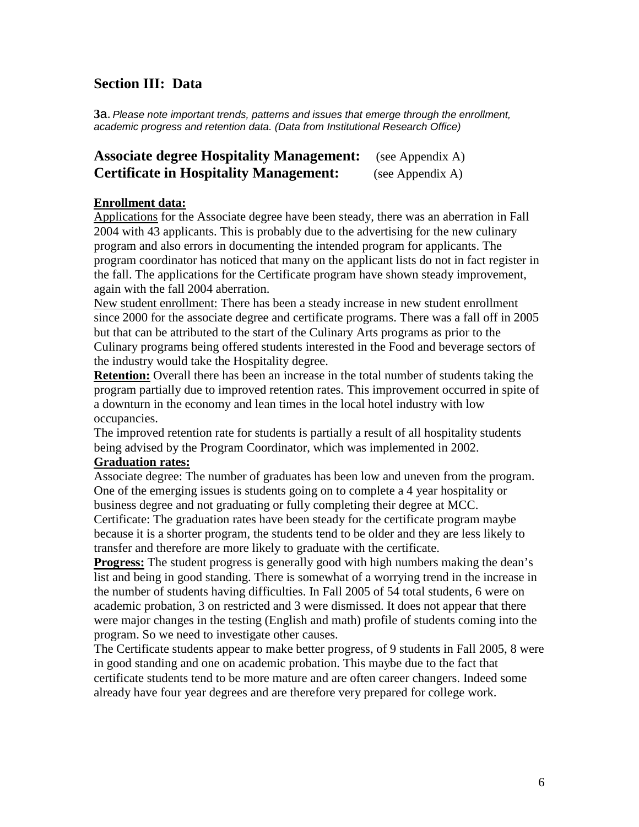# **Section III: Data**

**3**a. *Please note important trends, patterns and issues that emerge through the enrollment, academic progress and retention data. (Data from Institutional Research Office)*

| <b>Associate degree Hospitality Management:</b> | (see Appendix A) |
|-------------------------------------------------|------------------|
| <b>Certificate in Hospitality Management:</b>   | (see Appendix A) |

#### **Enrollment data:**

Applications for the Associate degree have been steady, there was an aberration in Fall 2004 with 43 applicants. This is probably due to the advertising for the new culinary program and also errors in documenting the intended program for applicants. The program coordinator has noticed that many on the applicant lists do not in fact register in the fall. The applications for the Certificate program have shown steady improvement, again with the fall 2004 aberration.

New student enrollment: There has been a steady increase in new student enrollment since 2000 for the associate degree and certificate programs. There was a fall off in 2005 but that can be attributed to the start of the Culinary Arts programs as prior to the Culinary programs being offered students interested in the Food and beverage sectors of the industry would take the Hospitality degree.

**Retention:** Overall there has been an increase in the total number of students taking the program partially due to improved retention rates. This improvement occurred in spite of a downturn in the economy and lean times in the local hotel industry with low occupancies.

The improved retention rate for students is partially a result of all hospitality students being advised by the Program Coordinator, which was implemented in 2002.

#### **Graduation rates:**

Associate degree: The number of graduates has been low and uneven from the program. One of the emerging issues is students going on to complete a 4 year hospitality or business degree and not graduating or fully completing their degree at MCC.

Certificate: The graduation rates have been steady for the certificate program maybe because it is a shorter program, the students tend to be older and they are less likely to transfer and therefore are more likely to graduate with the certificate.

**Progress:** The student progress is generally good with high numbers making the dean's list and being in good standing. There is somewhat of a worrying trend in the increase in the number of students having difficulties. In Fall 2005 of 54 total students, 6 were on academic probation, 3 on restricted and 3 were dismissed. It does not appear that there were major changes in the testing (English and math) profile of students coming into the program. So we need to investigate other causes.

The Certificate students appear to make better progress, of 9 students in Fall 2005, 8 were in good standing and one on academic probation. This maybe due to the fact that certificate students tend to be more mature and are often career changers. Indeed some already have four year degrees and are therefore very prepared for college work.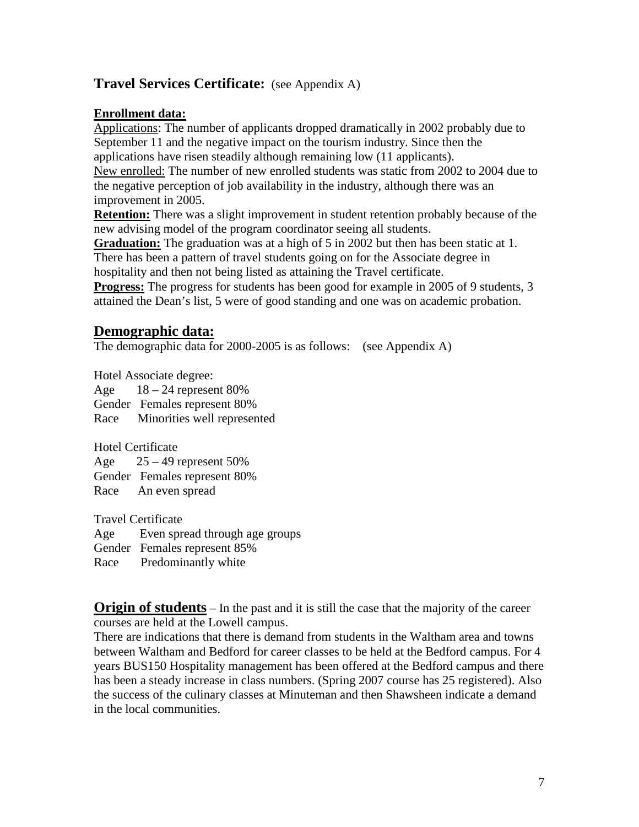# **Travel Services Certificate:** (see Appendix A)

# **Enrollment data:**

Applications: The number of applicants dropped dramatically in 2002 probably due to September 11 and the negative impact on the tourism industry. Since then the applications have risen steadily although remaining low (11 applicants).

New enrolled: The number of new enrolled students was static from 2002 to 2004 due to the negative perception of job availability in the industry, although there was an improvement in 2005.

**Retention:** There was a slight improvement in student retention probably because of the new advising model of the program coordinator seeing all students.

**Graduation:** The graduation was at a high of 5 in 2002 but then has been static at 1. There has been a pattern of travel students going on for the Associate degree in

hospitality and then not being listed as attaining the Travel certificate.

**Progress:** The progress for students has been good for example in 2005 of 9 students, 3 attained the Dean's list, 5 were of good standing and one was on academic probation.

# **Demographic data:**

The demographic data for 2000-2005 is as follows: (see Appendix A)

Hotel Associate degree: Age  $18 - 24$  represent 80% Gender Females represent 80% Race Minorities well represented

Hotel Certificate Age  $25 - 49$  represent  $50\%$ Gender Females represent 80% Race An even spread

Travel Certificate Age Even spread through age groups Gender Females represent 85%

Race Predominantly white

**Origin of students** – In the past and it is still the case that the majority of the career courses are held at the Lowell campus.

There are indications that there is demand from students in the Waltham area and towns between Waltham and Bedford for career classes to be held at the Bedford campus. For 4 years BUS150 Hospitality management has been offered at the Bedford campus and there has been a steady increase in class numbers. (Spring 2007 course has 25 registered). Also the success of the culinary classes at Minuteman and then Shawsheen indicate a demand in the local communities.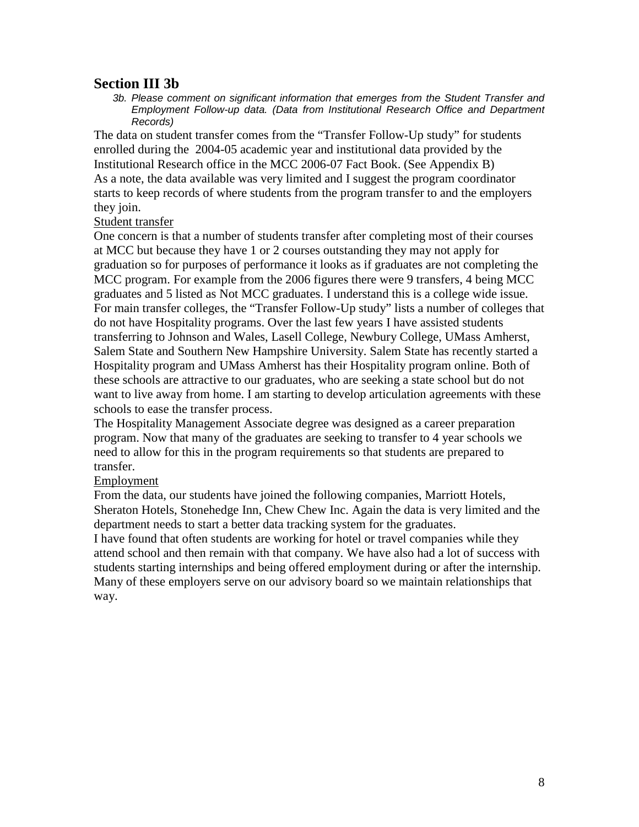# **Section III 3b**

*3b. Please comment on significant information that emerges from the Student Transfer and Employment Follow-up data. (Data from Institutional Research Office and Department Records)*

The data on student transfer comes from the "Transfer Follow-Up study" for students enrolled during the 2004-05 academic year and institutional data provided by the Institutional Research office in the MCC 2006-07 Fact Book. (See Appendix B) As a note, the data available was very limited and I suggest the program coordinator starts to keep records of where students from the program transfer to and the employers they join.

#### Student transfer

One concern is that a number of students transfer after completing most of their courses at MCC but because they have 1 or 2 courses outstanding they may not apply for graduation so for purposes of performance it looks as if graduates are not completing the MCC program. For example from the 2006 figures there were 9 transfers, 4 being MCC graduates and 5 listed as Not MCC graduates. I understand this is a college wide issue. For main transfer colleges, the "Transfer Follow-Up study" lists a number of colleges that do not have Hospitality programs. Over the last few years I have assisted students transferring to Johnson and Wales, Lasell College, Newbury College, UMass Amherst, Salem State and Southern New Hampshire University. Salem State has recently started a Hospitality program and UMass Amherst has their Hospitality program online. Both of these schools are attractive to our graduates, who are seeking a state school but do not want to live away from home. I am starting to develop articulation agreements with these schools to ease the transfer process.

The Hospitality Management Associate degree was designed as a career preparation program. Now that many of the graduates are seeking to transfer to 4 year schools we need to allow for this in the program requirements so that students are prepared to transfer.

#### Employment

From the data, our students have joined the following companies, Marriott Hotels, Sheraton Hotels, Stonehedge Inn, Chew Chew Inc. Again the data is very limited and the department needs to start a better data tracking system for the graduates.

I have found that often students are working for hotel or travel companies while they attend school and then remain with that company. We have also had a lot of success with students starting internships and being offered employment during or after the internship. Many of these employers serve on our advisory board so we maintain relationships that way.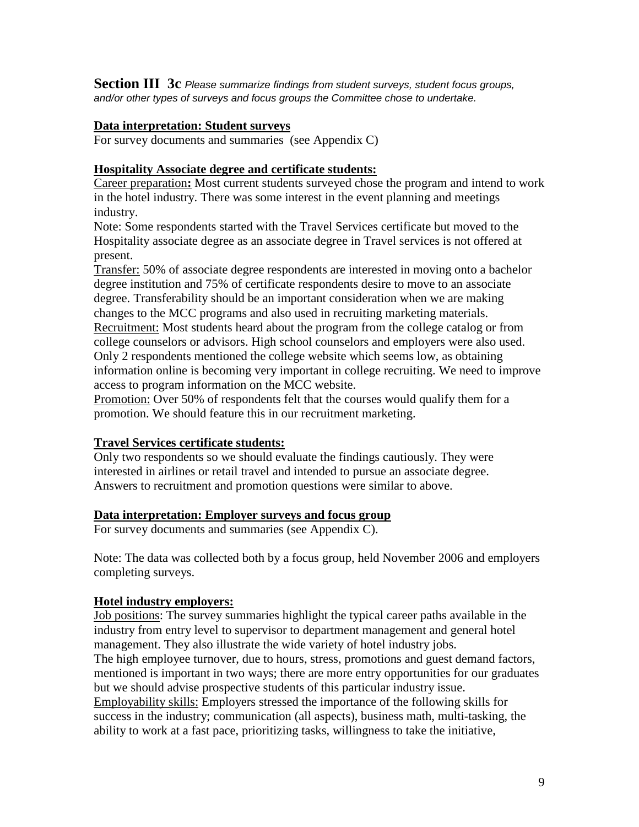**Section III 3c** *Please summarize findings from student surveys, student focus groups, and/or other types of surveys and focus groups the Committee chose to undertake.* 

#### **Data interpretation: Student surveys**

For survey documents and summaries (see Appendix C)

#### **Hospitality Associate degree and certificate students:**

Career preparation**:** Most current students surveyed chose the program and intend to work in the hotel industry. There was some interest in the event planning and meetings industry.

Note: Some respondents started with the Travel Services certificate but moved to the Hospitality associate degree as an associate degree in Travel services is not offered at present.

Transfer: 50% of associate degree respondents are interested in moving onto a bachelor degree institution and 75% of certificate respondents desire to move to an associate degree. Transferability should be an important consideration when we are making changes to the MCC programs and also used in recruiting marketing materials. Recruitment: Most students heard about the program from the college catalog or from

college counselors or advisors. High school counselors and employers were also used. Only 2 respondents mentioned the college website which seems low, as obtaining information online is becoming very important in college recruiting. We need to improve access to program information on the MCC website.

Promotion: Over 50% of respondents felt that the courses would qualify them for a promotion. We should feature this in our recruitment marketing.

#### **Travel Services certificate students:**

Only two respondents so we should evaluate the findings cautiously. They were interested in airlines or retail travel and intended to pursue an associate degree. Answers to recruitment and promotion questions were similar to above.

#### **Data interpretation: Employer surveys and focus group**

For survey documents and summaries (see Appendix C).

Note: The data was collected both by a focus group, held November 2006 and employers completing surveys.

#### **Hotel industry employers:**

Job positions: The survey summaries highlight the typical career paths available in the industry from entry level to supervisor to department management and general hotel management. They also illustrate the wide variety of hotel industry jobs. The high employee turnover, due to hours, stress, promotions and guest demand factors, mentioned is important in two ways; there are more entry opportunities for our graduates but we should advise prospective students of this particular industry issue. Employability skills: Employers stressed the importance of the following skills for success in the industry; communication (all aspects), business math, multi-tasking, the ability to work at a fast pace, prioritizing tasks, willingness to take the initiative,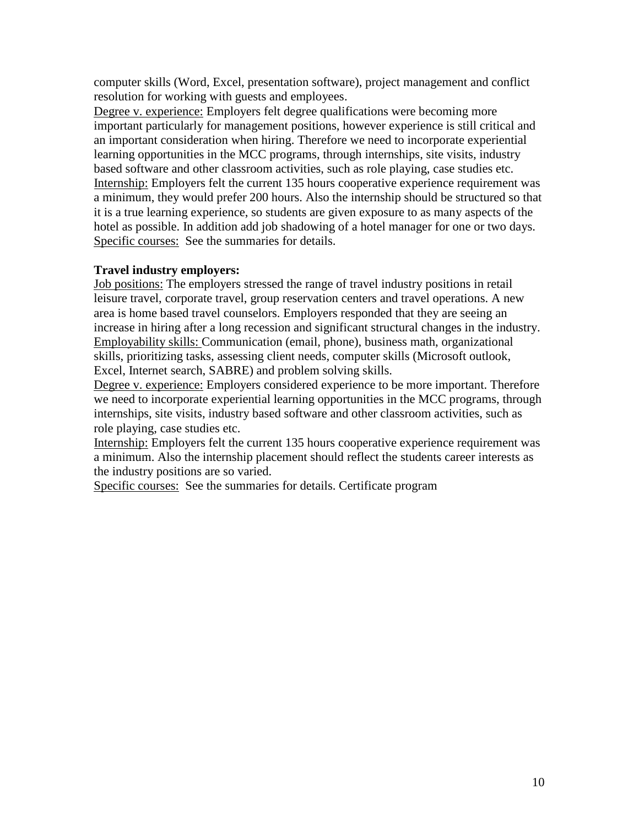computer skills (Word, Excel, presentation software), project management and conflict resolution for working with guests and employees.

Degree v. experience: Employers felt degree qualifications were becoming more important particularly for management positions, however experience is still critical and an important consideration when hiring. Therefore we need to incorporate experiential learning opportunities in the MCC programs, through internships, site visits, industry based software and other classroom activities, such as role playing, case studies etc. Internship: Employers felt the current 135 hours cooperative experience requirement was a minimum, they would prefer 200 hours. Also the internship should be structured so that it is a true learning experience, so students are given exposure to as many aspects of the hotel as possible. In addition add job shadowing of a hotel manager for one or two days. Specific courses: See the summaries for details.

# **Travel industry employers:**

Job positions: The employers stressed the range of travel industry positions in retail leisure travel, corporate travel, group reservation centers and travel operations. A new area is home based travel counselors. Employers responded that they are seeing an increase in hiring after a long recession and significant structural changes in the industry. Employability skills: Communication (email, phone), business math, organizational skills, prioritizing tasks, assessing client needs, computer skills (Microsoft outlook, Excel, Internet search, SABRE) and problem solving skills.

Degree v. experience: Employers considered experience to be more important. Therefore we need to incorporate experiential learning opportunities in the MCC programs, through internships, site visits, industry based software and other classroom activities, such as role playing, case studies etc.

Internship: Employers felt the current 135 hours cooperative experience requirement was a minimum. Also the internship placement should reflect the students career interests as the industry positions are so varied.

Specific courses: See the summaries for details. Certificate program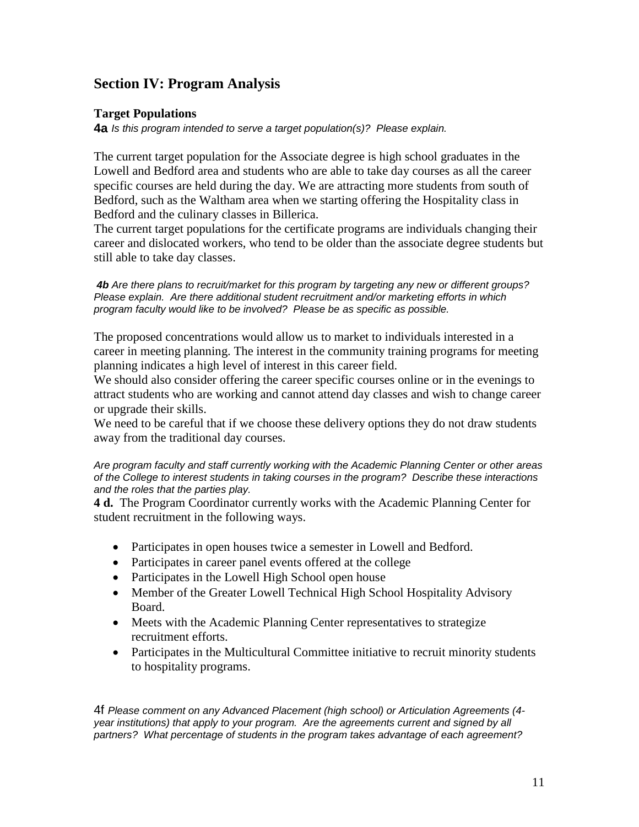# **Section IV: Program Analysis**

#### **Target Populations**

**4a** *Is this program intended to serve a target population(s)? Please explain.*

The current target population for the Associate degree is high school graduates in the Lowell and Bedford area and students who are able to take day courses as all the career specific courses are held during the day. We are attracting more students from south of Bedford, such as the Waltham area when we starting offering the Hospitality class in Bedford and the culinary classes in Billerica.

The current target populations for the certificate programs are individuals changing their career and dislocated workers, who tend to be older than the associate degree students but still able to take day classes.

*4b Are there plans to recruit/market for this program by targeting any new or different groups? Please explain. Are there additional student recruitment and/or marketing efforts in which program faculty would like to be involved? Please be as specific as possible.*

The proposed concentrations would allow us to market to individuals interested in a career in meeting planning. The interest in the community training programs for meeting planning indicates a high level of interest in this career field.

We should also consider offering the career specific courses online or in the evenings to attract students who are working and cannot attend day classes and wish to change career or upgrade their skills.

We need to be careful that if we choose these delivery options they do not draw students away from the traditional day courses.

*Are program faculty and staff currently working with the Academic Planning Center or other areas of the College to interest students in taking courses in the program? Describe these interactions and the roles that the parties play.*

**4 d.** The Program Coordinator currently works with the Academic Planning Center for student recruitment in the following ways.

- Participates in open houses twice a semester in Lowell and Bedford.
- Participates in career panel events offered at the college
- Participates in the Lowell High School open house
- Member of the Greater Lowell Technical High School Hospitality Advisory Board.
- Meets with the Academic Planning Center representatives to strategize recruitment efforts.
- Participates in the Multicultural Committee initiative to recruit minority students to hospitality programs.

4f *Please comment on any Advanced Placement (high school) or Articulation Agreements (4 year institutions) that apply to your program. Are the agreements current and signed by all partners? What percentage of students in the program takes advantage of each agreement?*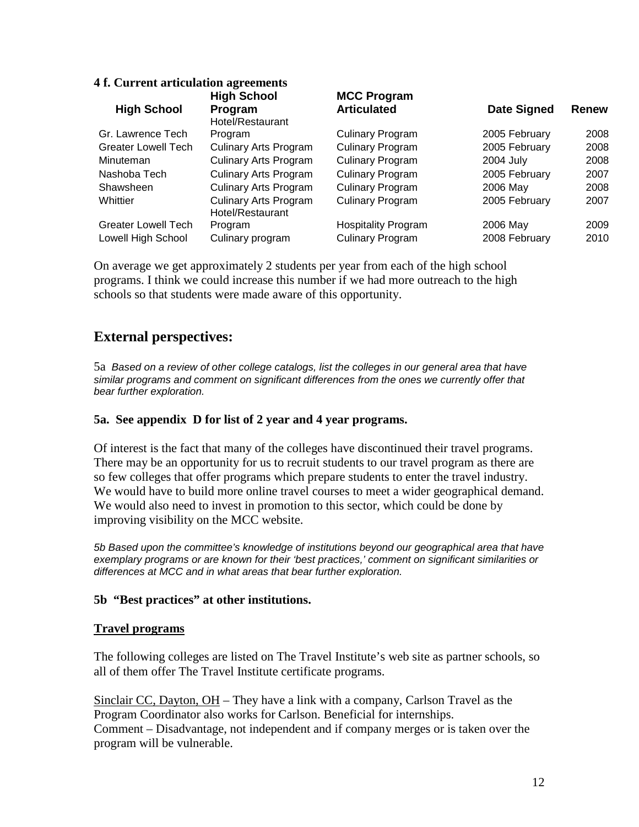#### **4 f. Current articulation agreements High School High School Program MCC Program Date Signed Renew** Gr. Lawrence Tech Hotel/Restaurant Program Culinary Program 2005 February 2008 Greater Lowell Tech Culinary Arts Program Culinary Program 2005 February 2008 Minuteman Culinary Arts Program Culinary Program 2004 July 2008 Nashoba Tech Culinary Arts Program Culinary Program 2005 February 2007 Shawsheen Culinary Arts Program Culinary Program 2006 May 2008 Whittier Culinary Arts Program Culinary Program 2005 February 2007 Greater Lowell Tech Hotel/Restaurant Program Hospitality Program 2006 May 2009 Lowell High School Culinary program Culinary Program 2008 February 2010

On average we get approximately 2 students per year from each of the high school programs. I think we could increase this number if we had more outreach to the high schools so that students were made aware of this opportunity.

# **External perspectives:**

5a *Based on a review of other college catalogs, list the colleges in our general area that have similar programs and comment on significant differences from the ones we currently offer that bear further exploration.*

# **5a. See appendix D for list of 2 year and 4 year programs.**

Of interest is the fact that many of the colleges have discontinued their travel programs. There may be an opportunity for us to recruit students to our travel program as there are so few colleges that offer programs which prepare students to enter the travel industry. We would have to build more online travel courses to meet a wider geographical demand. We would also need to invest in promotion to this sector, which could be done by improving visibility on the MCC website.

*5b Based upon the committee's knowledge of institutions beyond our geographical area that have exemplary programs or are known for their 'best practices,' comment on significant similarities or differences at MCC and in what areas that bear further exploration.*

# **5b "Best practices" at other institutions.**

# **Travel programs**

The following colleges are listed on The Travel Institute's web site as partner schools, so all of them offer The Travel Institute certificate programs.

Sinclair CC, Dayton, OH – They have a link with a company, Carlson Travel as the Program Coordinator also works for Carlson. Beneficial for internships. Comment – Disadvantage, not independent and if company merges or is taken over the program will be vulnerable.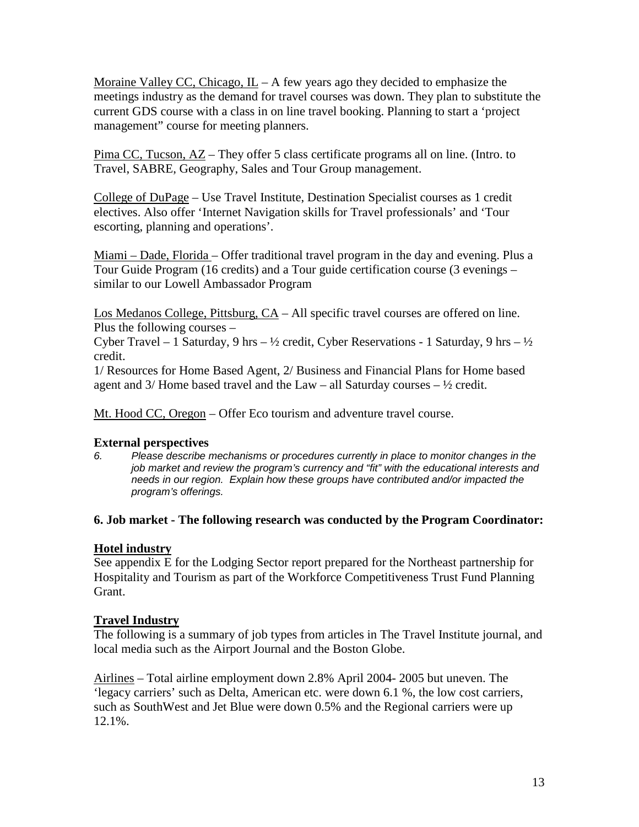Moraine Valley CC, Chicago,  $\underline{\mathbf{L}}$  – A few years ago they decided to emphasize the meetings industry as the demand for travel courses was down. They plan to substitute the current GDS course with a class in on line travel booking. Planning to start a 'project management" course for meeting planners.

Pima CC, Tucson, AZ – They offer 5 class certificate programs all on line. (Intro. to Travel, SABRE, Geography, Sales and Tour Group management.

College of DuPage – Use Travel Institute, Destination Specialist courses as 1 credit electives. Also offer 'Internet Navigation skills for Travel professionals' and 'Tour escorting, planning and operations'.

Miami – Dade, Florida – Offer traditional travel program in the day and evening. Plus a Tour Guide Program (16 credits) and a Tour guide certification course (3 evenings – similar to our Lowell Ambassador Program

Los Medanos College, Pittsburg, CA – All specific travel courses are offered on line. Plus the following courses –

Cyber Travel – 1 Saturday, 9 hrs –  $\frac{1}{2}$  credit, Cyber Reservations - 1 Saturday, 9 hrs –  $\frac{1}{2}$ credit.

1/ Resources for Home Based Agent, 2/ Business and Financial Plans for Home based agent and  $3/$  Home based travel and the Law – all Saturday courses –  $\frac{1}{2}$  credit.

Mt. Hood CC, Oregon – Offer Eco tourism and adventure travel course.

# **External perspectives**

*6. Please describe mechanisms or procedures currently in place to monitor changes in the job market and review the program's currency and "fit" with the educational interests and needs in our region. Explain how these groups have contributed and/or impacted the program's offerings.*

#### **6. Job market - The following research was conducted by the Program Coordinator:**

# **Hotel industry**

See appendix E for the Lodging Sector report prepared for the Northeast partnership for Hospitality and Tourism as part of the Workforce Competitiveness Trust Fund Planning Grant.

#### **Travel Industry**

The following is a summary of job types from articles in The Travel Institute journal, and local media such as the Airport Journal and the Boston Globe.

Airlines – Total airline employment down 2.8% April 2004- 2005 but uneven. The 'legacy carriers' such as Delta, American etc. were down 6.1 %, the low cost carriers, such as SouthWest and Jet Blue were down 0.5% and the Regional carriers were up 12.1%.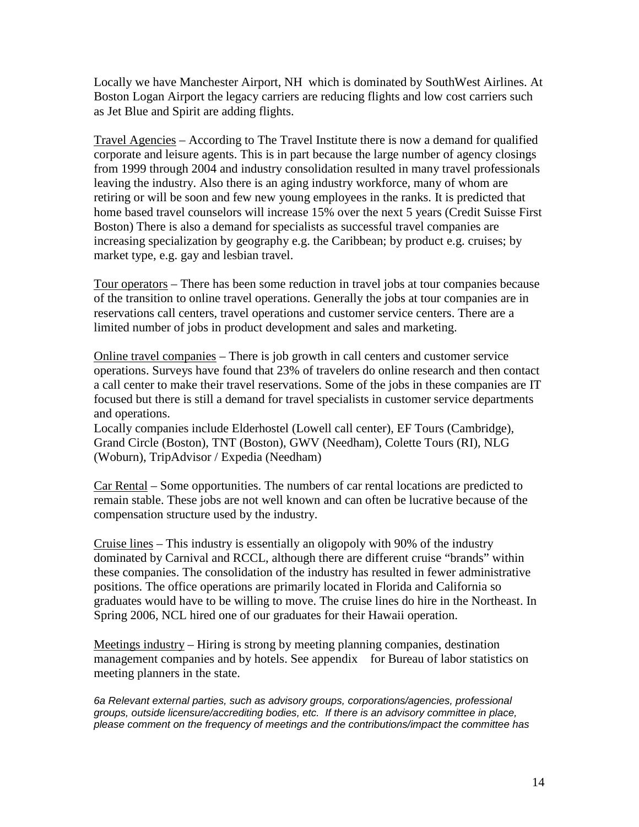Locally we have Manchester Airport, NH which is dominated by SouthWest Airlines. At Boston Logan Airport the legacy carriers are reducing flights and low cost carriers such as Jet Blue and Spirit are adding flights.

Travel Agencies – According to The Travel Institute there is now a demand for qualified corporate and leisure agents. This is in part because the large number of agency closings from 1999 through 2004 and industry consolidation resulted in many travel professionals leaving the industry. Also there is an aging industry workforce, many of whom are retiring or will be soon and few new young employees in the ranks. It is predicted that home based travel counselors will increase 15% over the next 5 years (Credit Suisse First Boston) There is also a demand for specialists as successful travel companies are increasing specialization by geography e.g. the Caribbean; by product e.g. cruises; by market type, e.g. gay and lesbian travel.

Tour operators – There has been some reduction in travel jobs at tour companies because of the transition to online travel operations. Generally the jobs at tour companies are in reservations call centers, travel operations and customer service centers. There are a limited number of jobs in product development and sales and marketing.

Online travel companies – There is job growth in call centers and customer service operations. Surveys have found that 23% of travelers do online research and then contact a call center to make their travel reservations. Some of the jobs in these companies are IT focused but there is still a demand for travel specialists in customer service departments and operations.

Locally companies include Elderhostel (Lowell call center), EF Tours (Cambridge), Grand Circle (Boston), TNT (Boston), GWV (Needham), Colette Tours (RI), NLG (Woburn), TripAdvisor / Expedia (Needham)

Car Rental – Some opportunities. The numbers of car rental locations are predicted to remain stable. These jobs are not well known and can often be lucrative because of the compensation structure used by the industry.

Cruise lines – This industry is essentially an oligopoly with 90% of the industry dominated by Carnival and RCCL, although there are different cruise "brands" within these companies. The consolidation of the industry has resulted in fewer administrative positions. The office operations are primarily located in Florida and California so graduates would have to be willing to move. The cruise lines do hire in the Northeast. In Spring 2006, NCL hired one of our graduates for their Hawaii operation.

Meetings industry – Hiring is strong by meeting planning companies, destination management companies and by hotels. See appendix for Bureau of labor statistics on meeting planners in the state.

*6a Relevant external parties, such as advisory groups, corporations/agencies, professional groups, outside licensure/accrediting bodies, etc. If there is an advisory committee in place, please comment on the frequency of meetings and the contributions/impact the committee has*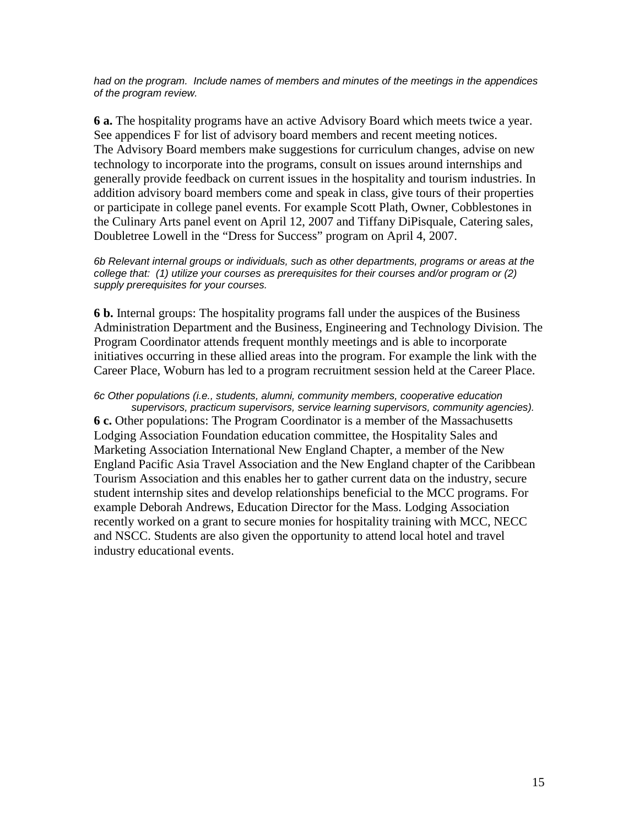*had on the program. Include names of members and minutes of the meetings in the appendices of the program review.* 

**6 a.** The hospitality programs have an active Advisory Board which meets twice a year. See appendices F for list of advisory board members and recent meeting notices. The Advisory Board members make suggestions for curriculum changes, advise on new technology to incorporate into the programs, consult on issues around internships and generally provide feedback on current issues in the hospitality and tourism industries. In addition advisory board members come and speak in class, give tours of their properties or participate in college panel events. For example Scott Plath, Owner, Cobblestones in the Culinary Arts panel event on April 12, 2007 and Tiffany DiPisquale, Catering sales, Doubletree Lowell in the "Dress for Success" program on April 4, 2007.

*6b Relevant internal groups or individuals, such as other departments, programs or areas at the college that: (1) utilize your courses as prerequisites for their courses and/or program or (2) supply prerequisites for your courses.*

**6 b.** Internal groups: The hospitality programs fall under the auspices of the Business Administration Department and the Business, Engineering and Technology Division. The Program Coordinator attends frequent monthly meetings and is able to incorporate initiatives occurring in these allied areas into the program. For example the link with the Career Place, Woburn has led to a program recruitment session held at the Career Place.

*6c Other populations (i.e., students, alumni, community members, cooperative education supervisors, practicum supervisors, service learning supervisors, community agencies).* **6 c.** Other populations: The Program Coordinator is a member of the Massachusetts Lodging Association Foundation education committee, the Hospitality Sales and Marketing Association International New England Chapter, a member of the New England Pacific Asia Travel Association and the New England chapter of the Caribbean Tourism Association and this enables her to gather current data on the industry, secure student internship sites and develop relationships beneficial to the MCC programs. For example Deborah Andrews, Education Director for the Mass. Lodging Association recently worked on a grant to secure monies for hospitality training with MCC, NECC and NSCC. Students are also given the opportunity to attend local hotel and travel industry educational events.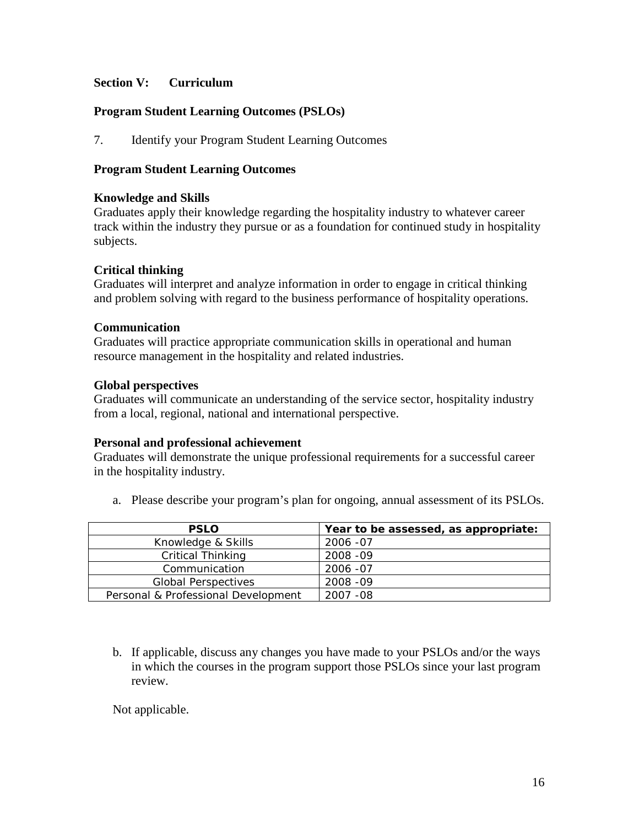#### **Section V: Curriculum**

#### **Program Student Learning Outcomes (PSLOs)**

7. Identify your Program Student Learning Outcomes

#### **Program Student Learning Outcomes**

#### **Knowledge and Skills**

Graduates apply their knowledge regarding the hospitality industry to whatever career track within the industry they pursue or as a foundation for continued study in hospitality subjects.

#### **Critical thinking**

Graduates will interpret and analyze information in order to engage in critical thinking and problem solving with regard to the business performance of hospitality operations.

#### **Communication**

Graduates will practice appropriate communication skills in operational and human resource management in the hospitality and related industries.

#### **Global perspectives**

Graduates will communicate an understanding of the service sector, hospitality industry from a local, regional, national and international perspective.

# **Personal and professional achievement**

Graduates will demonstrate the unique professional requirements for a successful career in the hospitality industry.

a. Please describe your program's plan for ongoing, annual assessment of its PSLOs.

| <b>PSLO</b>                         | Year to be assessed, as appropriate: |
|-------------------------------------|--------------------------------------|
| Knowledge & Skills                  | 2006 - 07                            |
| <b>Critical Thinking</b>            | 2008 - 09                            |
| Communication                       | 2006 - 07                            |
| <b>Global Perspectives</b>          | 2008 - 09                            |
| Personal & Professional Development | 2007 - 08                            |

b. If applicable, discuss any changes you have made to your PSLOs and/or the ways in which the courses in the program support those PSLOs since your last program review.

Not applicable.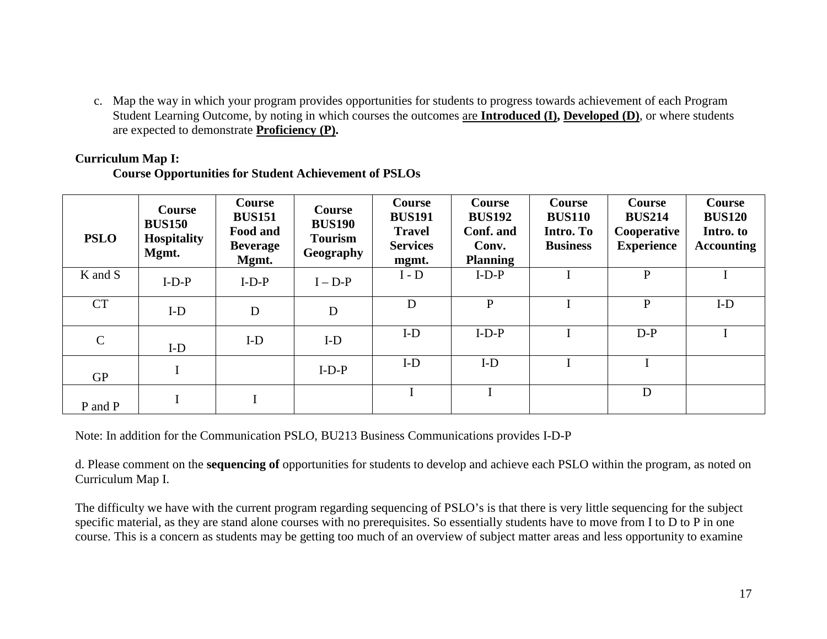c. Map the way in which your program provides opportunities for students to progress towards achievement of each Program Student Learning Outcome, by noting in which courses the outcomes are **Introduced (I), Developed (D)**, or where students are expected to demonstrate **Proficiency (P).**

#### **Curriculum Map I:**

#### **Course Opportunities for Student Achievement of PSLOs**

| <b>PSLO</b>   | Course<br><b>BUS150</b><br><b>Hospitality</b><br>Mgmt. | <b>Course</b><br><b>BUS151</b><br>Food and<br><b>Beverage</b><br>Mgmt. | Course<br><b>BUS190</b><br><b>Tourism</b><br><b>Geography</b> | Course<br><b>BUS191</b><br><b>Travel</b><br><b>Services</b><br>mgmt. | <b>Course</b><br><b>BUS192</b><br>Conf. and<br>Conv.<br><b>Planning</b> | Course<br><b>BUS110</b><br>Intro. To<br><b>Business</b> | <b>Course</b><br><b>BUS214</b><br>Cooperative<br><b>Experience</b> | <b>Course</b><br><b>BUS120</b><br>Intro. to<br><b>Accounting</b> |
|---------------|--------------------------------------------------------|------------------------------------------------------------------------|---------------------------------------------------------------|----------------------------------------------------------------------|-------------------------------------------------------------------------|---------------------------------------------------------|--------------------------------------------------------------------|------------------------------------------------------------------|
| K and S       | $I-D-P$                                                | $I-D-P$                                                                | $I - D-P$                                                     | $I - D$                                                              | $I-D-P$                                                                 |                                                         | $\mathbf{P}$                                                       |                                                                  |
| <b>CT</b>     | $I-D$                                                  | D                                                                      | D                                                             | D                                                                    | $\mathbf{P}$                                                            |                                                         | $\mathbf{P}$                                                       | $I-D$                                                            |
| $\mathcal{C}$ | $I-D$                                                  | $I-D$                                                                  | $I-D$                                                         | $I-D$                                                                | $I-D-P$                                                                 |                                                         | $D-P$                                                              |                                                                  |
| <b>GP</b>     |                                                        |                                                                        | $I-D-P$                                                       | $I-D$                                                                | $I-D$                                                                   |                                                         |                                                                    |                                                                  |
| P and P       |                                                        |                                                                        |                                                               |                                                                      |                                                                         |                                                         | D                                                                  |                                                                  |

Note: In addition for the Communication PSLO, BU213 Business Communications provides I-D-P

d. Please comment on the **sequencing of** opportunities for students to develop and achieve each PSLO within the program, as noted on Curriculum Map I.

The difficulty we have with the current program regarding sequencing of PSLO's is that there is very little sequencing for the subject specific material, as they are stand alone courses with no prerequisites. So essentially students have to move from I to D to P in one course. This is a concern as students may be getting too much of an overview of subject matter areas and less opportunity to examine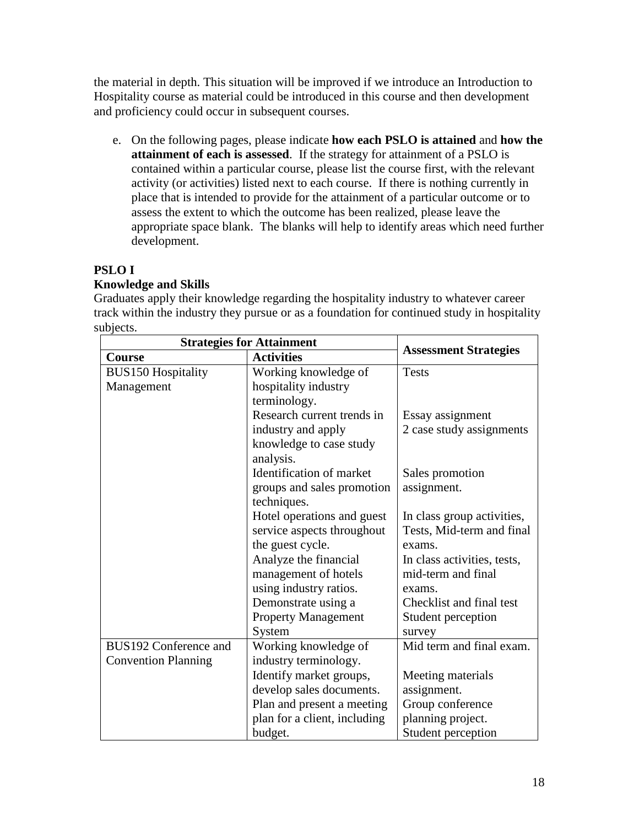the material in depth. This situation will be improved if we introduce an Introduction to Hospitality course as material could be introduced in this course and then development and proficiency could occur in subsequent courses.

e. On the following pages, please indicate **how each PSLO is attained** and **how the attainment of each is assessed**. If the strategy for attainment of a PSLO is contained within a particular course, please list the course first, with the relevant activity (or activities) listed next to each course. If there is nothing currently in place that is intended to provide for the attainment of a particular outcome or to assess the extent to which the outcome has been realized, please leave the appropriate space blank. The blanks will help to identify areas which need further development.

# **PSLO I**

# **Knowledge and Skills**

Graduates apply their knowledge regarding the hospitality industry to whatever career track within the industry they pursue or as a foundation for continued study in hospitality subjects.

| <b>Strategies for Attainment</b> |                              |                              |
|----------------------------------|------------------------------|------------------------------|
| <b>Course</b>                    | <b>Activities</b>            | <b>Assessment Strategies</b> |
| <b>BUS150 Hospitality</b>        | Working knowledge of         | <b>Tests</b>                 |
| Management                       | hospitality industry         |                              |
|                                  | terminology.                 |                              |
|                                  | Research current trends in   | Essay assignment             |
|                                  | industry and apply           | 2 case study assignments     |
|                                  | knowledge to case study      |                              |
|                                  | analysis.                    |                              |
|                                  | Identification of market     | Sales promotion              |
|                                  | groups and sales promotion   | assignment.                  |
|                                  | techniques.                  |                              |
|                                  | Hotel operations and guest   | In class group activities,   |
|                                  | service aspects throughout   | Tests, Mid-term and final    |
|                                  | the guest cycle.             | exams.                       |
|                                  | Analyze the financial        | In class activities, tests,  |
|                                  | management of hotels         | mid-term and final           |
|                                  | using industry ratios.       | exams.                       |
|                                  | Demonstrate using a          | Checklist and final test     |
|                                  | <b>Property Management</b>   | Student perception           |
|                                  | System                       | survey                       |
| BUS192 Conference and            | Working knowledge of         | Mid term and final exam.     |
| <b>Convention Planning</b>       | industry terminology.        |                              |
|                                  | Identify market groups,      | Meeting materials            |
|                                  | develop sales documents.     | assignment.                  |
|                                  | Plan and present a meeting   | Group conference             |
|                                  | plan for a client, including | planning project.            |
|                                  | budget.                      | Student perception           |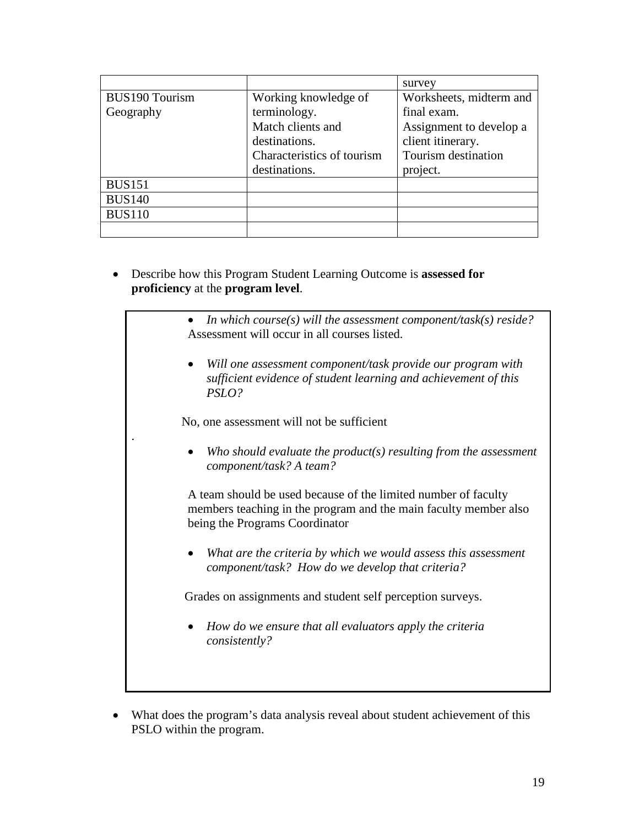|                       |                            | survey                  |
|-----------------------|----------------------------|-------------------------|
| <b>BUS190 Tourism</b> | Working knowledge of       | Worksheets, midterm and |
| Geography             | terminology.               | final exam.             |
|                       | Match clients and          | Assignment to develop a |
|                       | destinations.              | client itinerary.       |
|                       | Characteristics of tourism | Tourism destination     |
|                       | destinations.              | project.                |
| <b>BUS151</b>         |                            |                         |
| <b>BUS140</b>         |                            |                         |
| <b>BUS110</b>         |                            |                         |
|                       |                            |                         |

- Describe how this Program Student Learning Outcome is **assessed for proficiency** at the **program level**.
	- *In which course(s) will the assessment component/task(s) reside?* Assessment will occur in all courses listed.
		- *Will one assessment component/task provide our program with sufficient evidence of student learning and achievement of this PSLO?*

No, one assessment will not be sufficient

.

• *Who should evaluate the product(s) resulting from the assessment component/task? A team?* 

A team should be used because of the limited number of faculty members teaching in the program and the main faculty member also being the Programs Coordinator

• *What are the criteria by which we would assess this assessment component/task? How do we develop that criteria?* 

Grades on assignments and student self perception surveys.

- *How do we ensure that all evaluators apply the criteria consistently?*
- What does the program's data analysis reveal about student achievement of this PSLO within the program.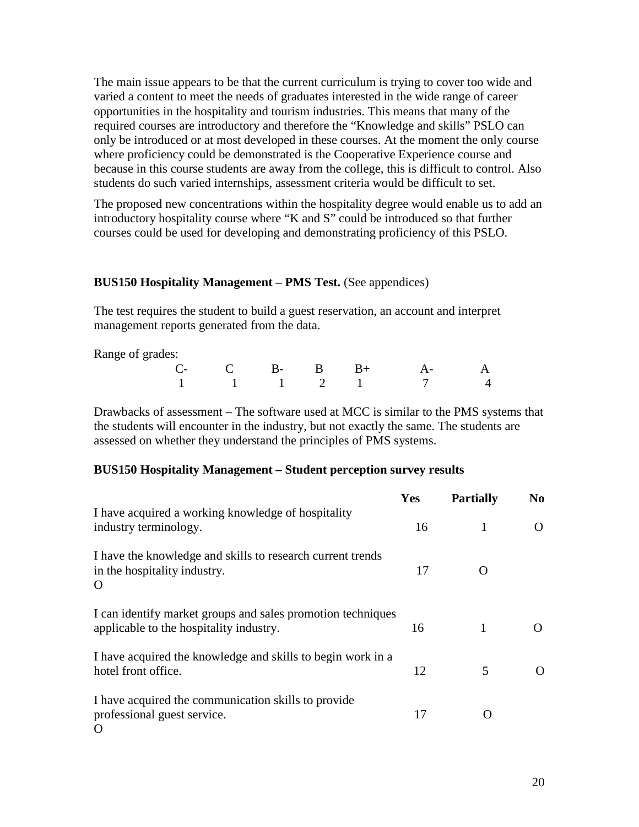The main issue appears to be that the current curriculum is trying to cover too wide and varied a content to meet the needs of graduates interested in the wide range of career opportunities in the hospitality and tourism industries. This means that many of the required courses are introductory and therefore the "Knowledge and skills" PSLO can only be introduced or at most developed in these courses. At the moment the only course where proficiency could be demonstrated is the Cooperative Experience course and because in this course students are away from the college, this is difficult to control. Also students do such varied internships, assessment criteria would be difficult to set.

The proposed new concentrations within the hospitality degree would enable us to add an introductory hospitality course where "K and S" could be introduced so that further courses could be used for developing and demonstrating proficiency of this PSLO.

#### **BUS150 Hospitality Management – PMS Test.** (See appendices)

The test requires the student to build a guest reservation, an account and interpret management reports generated from the data.

Range of grades:

| $\overline{a}$ . $\overline{a}$ . $\overline{a}$ . $\overline{a}$ . $\overline{a}$ |  |  |                      |  |
|------------------------------------------------------------------------------------|--|--|----------------------|--|
|                                                                                    |  |  | $C$ - C B- B B+ A- A |  |
|                                                                                    |  |  | 1 1 1 2 1 7 4        |  |

Drawbacks of assessment – The software used at MCC is similar to the PMS systems that the students will encounter in the industry, but not exactly the same. The students are assessed on whether they understand the principles of PMS systems.

#### **BUS150 Hospitality Management – Student perception survey results**

|                                                                                                        | <b>Yes</b> | <b>Partially</b> | N <sub>0</sub>    |
|--------------------------------------------------------------------------------------------------------|------------|------------------|-------------------|
| I have acquired a working knowledge of hospitality<br>industry terminology.                            | 16         |                  |                   |
| I have the knowledge and skills to research current trends<br>in the hospitality industry.<br>O        | 17         |                  |                   |
| I can identify market groups and sales promotion techniques<br>applicable to the hospitality industry. | 16         | 1                |                   |
| I have acquired the knowledge and skills to begin work in a<br>hotel front office.                     | 12         | 5                | $\mathbf{\Omega}$ |
| I have acquired the communication skills to provide<br>professional guest service.<br>$\Omega$         | 17         |                  |                   |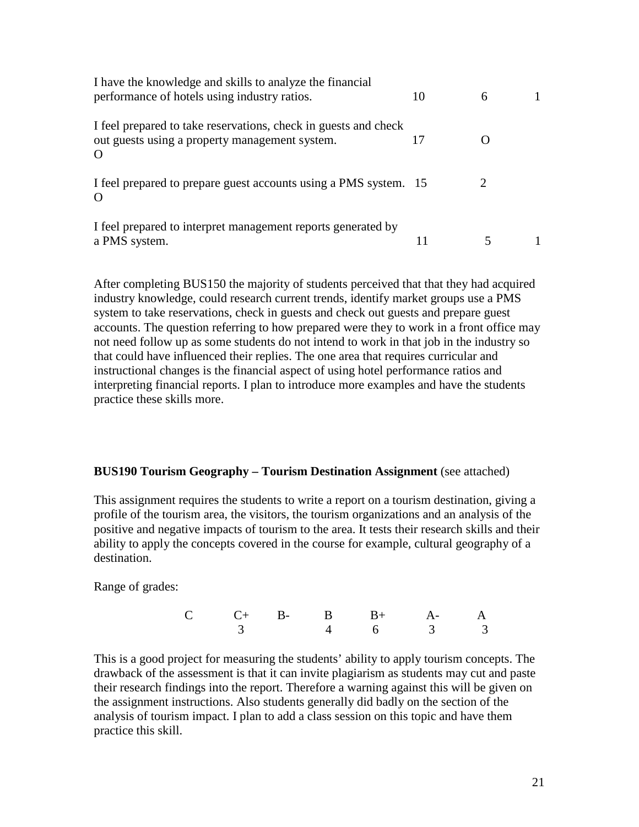| I have the knowledge and skills to analyze the financial<br>performance of hotels using industry ratios.                      | 10 | 6 |  |
|-------------------------------------------------------------------------------------------------------------------------------|----|---|--|
| I feel prepared to take reservations, check in guests and check<br>out guests using a property management system.<br>$\Omega$ |    |   |  |
| I feel prepared to prepare guest accounts using a PMS system. 15<br>$\Omega$                                                  |    | ∍ |  |
| I feel prepared to interpret management reports generated by<br>a PMS system.                                                 |    |   |  |

After completing BUS150 the majority of students perceived that that they had acquired industry knowledge, could research current trends, identify market groups use a PMS system to take reservations, check in guests and check out guests and prepare guest accounts. The question referring to how prepared were they to work in a front office may not need follow up as some students do not intend to work in that job in the industry so that could have influenced their replies. The one area that requires curricular and instructional changes is the financial aspect of using hotel performance ratios and interpreting financial reports. I plan to introduce more examples and have the students practice these skills more.

#### **BUS190 Tourism Geography – Tourism Destination Assignment** (see attached)

This assignment requires the students to write a report on a tourism destination, giving a profile of the tourism area, the visitors, the tourism organizations and an analysis of the positive and negative impacts of tourism to the area. It tests their research skills and their ability to apply the concepts covered in the course for example, cultural geography of a destination.

Range of grades:

|  |  | $C$ $C+$ $B B$ $B+$ $A A$ |  |
|--|--|---------------------------|--|
|  |  | 3 4 6 3 3                 |  |

This is a good project for measuring the students' ability to apply tourism concepts. The drawback of the assessment is that it can invite plagiarism as students may cut and paste their research findings into the report. Therefore a warning against this will be given on the assignment instructions. Also students generally did badly on the section of the analysis of tourism impact. I plan to add a class session on this topic and have them practice this skill.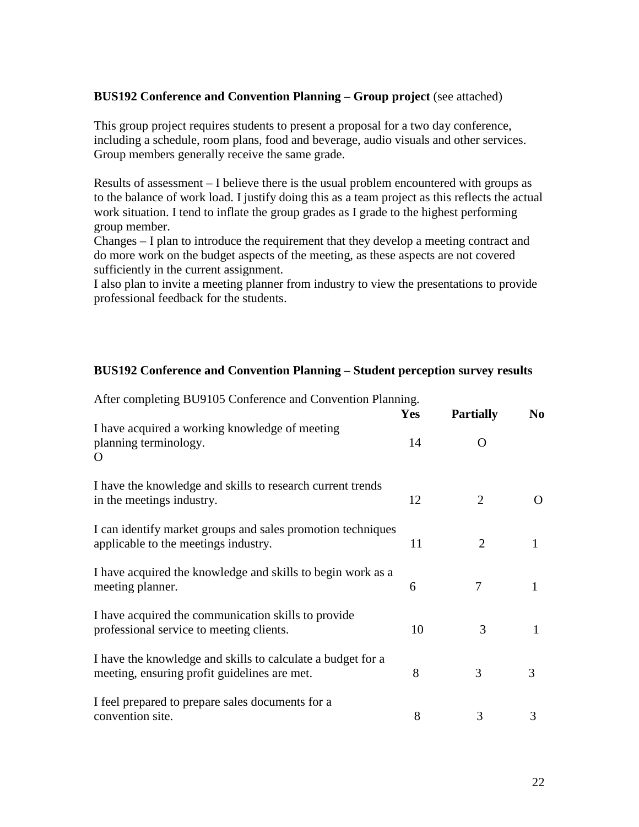#### **BUS192 Conference and Convention Planning – Group project** (see attached)

This group project requires students to present a proposal for a two day conference, including a schedule, room plans, food and beverage, audio visuals and other services. Group members generally receive the same grade.

Results of assessment – I believe there is the usual problem encountered with groups as to the balance of work load. I justify doing this as a team project as this reflects the actual work situation. I tend to inflate the group grades as I grade to the highest performing group member.

Changes – I plan to introduce the requirement that they develop a meeting contract and do more work on the budget aspects of the meeting, as these aspects are not covered sufficiently in the current assignment.

I also plan to invite a meeting planner from industry to view the presentations to provide professional feedback for the students.

#### **BUS192 Conference and Convention Planning – Student perception survey results**

| $\mu$ and completing $D_{\nu}$ of $\sigma$ complemed and convention Framming.                               | <b>Yes</b> | <b>Partially</b> | No. |
|-------------------------------------------------------------------------------------------------------------|------------|------------------|-----|
| I have acquired a working knowledge of meeting<br>planning terminology.<br>$\Omega$                         | 14         | $\Omega$         |     |
| I have the knowledge and skills to research current trends<br>in the meetings industry.                     | 12         | 2                |     |
| I can identify market groups and sales promotion techniques<br>applicable to the meetings industry.         | 11         | 2                | 1   |
| I have acquired the knowledge and skills to begin work as a<br>meeting planner.                             | 6          | 7                |     |
| I have acquired the communication skills to provide<br>professional service to meeting clients.             | 10         | 3                |     |
| I have the knowledge and skills to calculate a budget for a<br>meeting, ensuring profit guidelines are met. | 8          | 3                | 3   |
| I feel prepared to prepare sales documents for a<br>convention site.                                        | 8          | 3                | 3   |

After completing BU9105 Conference and Convention Planning.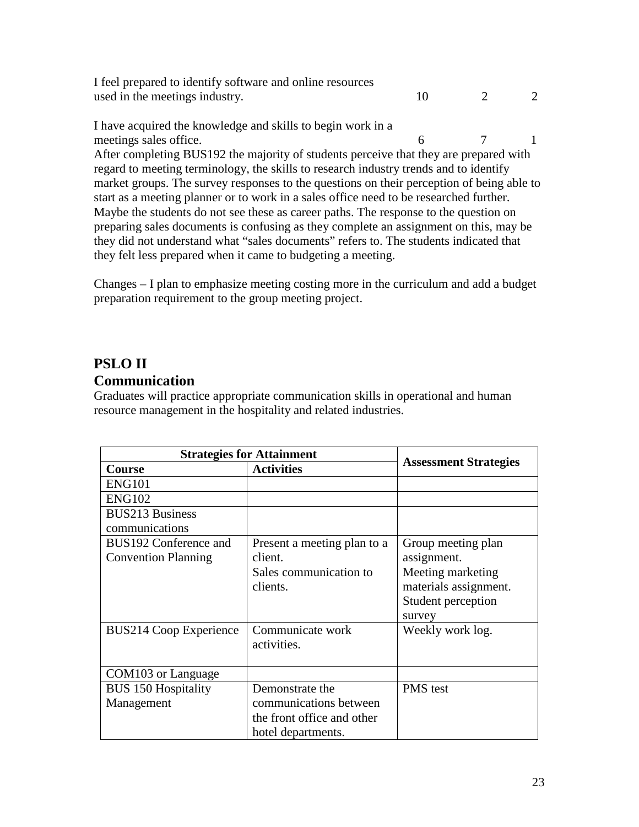I feel prepared to identify software and online resources used in the meetings industry.  $10 \t 2 \t 2$ 

I have acquired the knowledge and skills to begin work in a meetings sales office. 6 7 1 After completing BUS192 the majority of students perceive that they are prepared with regard to meeting terminology, the skills to research industry trends and to identify market groups. The survey responses to the questions on their perception of being able to start as a meeting planner or to work in a sales office need to be researched further. Maybe the students do not see these as career paths. The response to the question on preparing sales documents is confusing as they complete an assignment on this, may be they did not understand what "sales documents" refers to. The students indicated that they felt less prepared when it came to budgeting a meeting.

Changes – I plan to emphasize meeting costing more in the curriculum and add a budget preparation requirement to the group meeting project.

# **PSLO II** **Communication**

Graduates will practice appropriate communication skills in operational and human resource management in the hospitality and related industries.

| <b>Strategies for Attainment</b> |                             |                              |
|----------------------------------|-----------------------------|------------------------------|
| <b>Course</b>                    | <b>Activities</b>           | <b>Assessment Strategies</b> |
| <b>ENG101</b>                    |                             |                              |
| <b>ENG102</b>                    |                             |                              |
| <b>BUS213 Business</b>           |                             |                              |
| communications                   |                             |                              |
| BUS192 Conference and            | Present a meeting plan to a | Group meeting plan           |
| <b>Convention Planning</b>       | client.                     | assignment.                  |
|                                  | Sales communication to      | Meeting marketing            |
|                                  | clients.                    | materials assignment.        |
|                                  |                             | Student perception           |
|                                  |                             | survey                       |
| <b>BUS214 Coop Experience</b>    | Communicate work            | Weekly work log.             |
|                                  | activities.                 |                              |
|                                  |                             |                              |
| COM103 or Language               |                             |                              |
| <b>BUS 150 Hospitality</b>       | Demonstrate the             | <b>PMS</b> test              |
| Management                       | communications between      |                              |
|                                  | the front office and other  |                              |
|                                  | hotel departments.          |                              |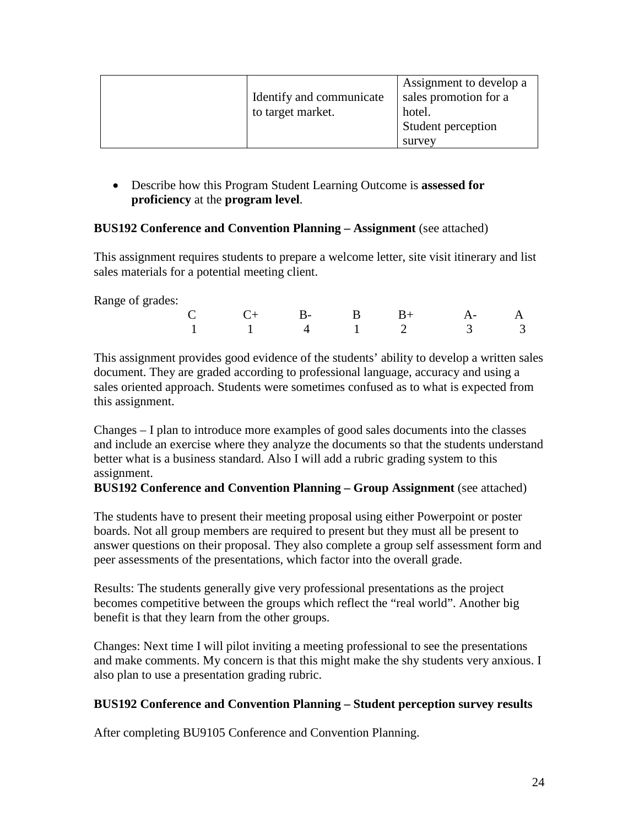| Identify and communicate<br>to target market. | Assignment to develop a<br>sales promotion for a<br>hotel.<br>Student perception |
|-----------------------------------------------|----------------------------------------------------------------------------------|
|                                               | survey                                                                           |

• Describe how this Program Student Learning Outcome is **assessed for proficiency** at the **program level**.

# **BUS192 Conference and Convention Planning – Assignment** (see attached)

This assignment requires students to prepare a welcome letter, site visit itinerary and list sales materials for a potential meeting client.

Range of grades:

|  |  |  | $C$ $C+$ $B B+$ $A A$             |  |
|--|--|--|-----------------------------------|--|
|  |  |  | $1 \t 1 \t 4 \t 1 \t 2 \t 3 \t 3$ |  |

This assignment provides good evidence of the students' ability to develop a written sales document. They are graded according to professional language, accuracy and using a sales oriented approach. Students were sometimes confused as to what is expected from this assignment.

Changes – I plan to introduce more examples of good sales documents into the classes and include an exercise where they analyze the documents so that the students understand better what is a business standard. Also I will add a rubric grading system to this assignment.

#### **BUS192 Conference and Convention Planning – Group Assignment** (see attached)

The students have to present their meeting proposal using either Powerpoint or poster boards. Not all group members are required to present but they must all be present to answer questions on their proposal. They also complete a group self assessment form and peer assessments of the presentations, which factor into the overall grade.

Results: The students generally give very professional presentations as the project becomes competitive between the groups which reflect the "real world". Another big benefit is that they learn from the other groups.

Changes: Next time I will pilot inviting a meeting professional to see the presentations and make comments. My concern is that this might make the shy students very anxious. I also plan to use a presentation grading rubric.

# **BUS192 Conference and Convention Planning – Student perception survey results**

After completing BU9105 Conference and Convention Planning.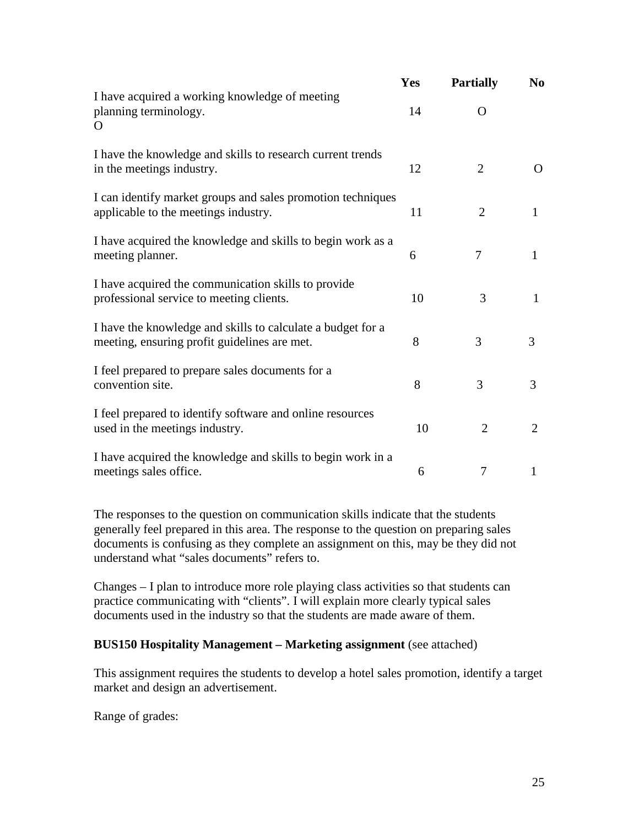|                                                                                                             | Yes | <b>Partially</b> | N <sub>0</sub> |
|-------------------------------------------------------------------------------------------------------------|-----|------------------|----------------|
| I have acquired a working knowledge of meeting<br>planning terminology.<br>O                                | 14  | $\Omega$         |                |
| I have the knowledge and skills to research current trends<br>in the meetings industry.                     | 12  | $\overline{2}$   | O              |
| I can identify market groups and sales promotion techniques<br>applicable to the meetings industry.         | 11  | $\overline{2}$   | $\mathbf{1}$   |
| I have acquired the knowledge and skills to begin work as a<br>meeting planner.                             | 6   | 7                | $\mathbf{1}$   |
| I have acquired the communication skills to provide<br>professional service to meeting clients.             | 10  | 3                | 1              |
| I have the knowledge and skills to calculate a budget for a<br>meeting, ensuring profit guidelines are met. | 8   | 3                | 3              |
| I feel prepared to prepare sales documents for a<br>convention site.                                        | 8   | 3                | 3              |
| I feel prepared to identify software and online resources<br>used in the meetings industry.                 | 10  | $\overline{2}$   | 2              |
| I have acquired the knowledge and skills to begin work in a<br>meetings sales office.                       | 6   | 7                | 1              |

The responses to the question on communication skills indicate that the students generally feel prepared in this area. The response to the question on preparing sales documents is confusing as they complete an assignment on this, may be they did not understand what "sales documents" refers to.

Changes – I plan to introduce more role playing class activities so that students can practice communicating with "clients". I will explain more clearly typical sales documents used in the industry so that the students are made aware of them.

#### **BUS150 Hospitality Management – Marketing assignment** (see attached)

This assignment requires the students to develop a hotel sales promotion, identify a target market and design an advertisement.

Range of grades: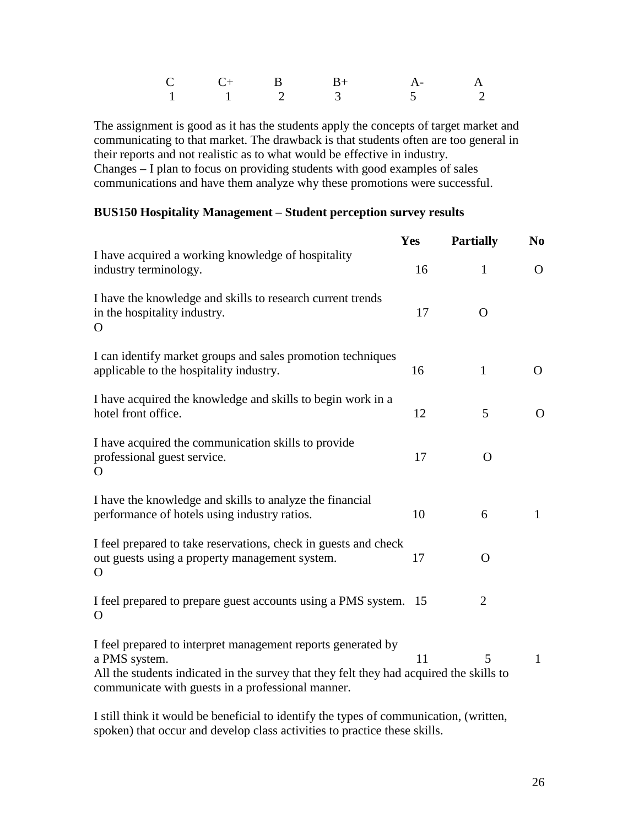|  |  | $C$ $C+$ B $B+$ A- A                             |  |
|--|--|--------------------------------------------------|--|
|  |  | $1 \qquad 1 \qquad 2 \qquad 3 \qquad 5 \qquad 2$ |  |

The assignment is good as it has the students apply the concepts of target market and communicating to that market. The drawback is that students often are too general in their reports and not realistic as to what would be effective in industry. Changes – I plan to focus on providing students with good examples of sales communications and have them analyze why these promotions were successful.

#### **BUS150 Hospitality Management – Student perception survey results**

|                                                                                                                                                                                                                               | <b>Yes</b> | <b>Partially</b> | N <sub>0</sub> |
|-------------------------------------------------------------------------------------------------------------------------------------------------------------------------------------------------------------------------------|------------|------------------|----------------|
| I have acquired a working knowledge of hospitality<br>industry terminology.                                                                                                                                                   | 16         | $\mathbf{1}$     | $\Omega$       |
| I have the knowledge and skills to research current trends<br>in the hospitality industry.<br>O                                                                                                                               | 17         | $\mathbf{O}$     |                |
| I can identify market groups and sales promotion techniques<br>applicable to the hospitality industry.                                                                                                                        | 16         | $\mathbf{1}$     | O              |
| I have acquired the knowledge and skills to begin work in a<br>hotel front office.                                                                                                                                            | 12         | 5                | $\Omega$       |
| I have acquired the communication skills to provide<br>professional guest service.<br>O                                                                                                                                       | 17         | $\Omega$         |                |
| I have the knowledge and skills to analyze the financial<br>performance of hotels using industry ratios.                                                                                                                      | 10         | 6                | $\mathbf{1}$   |
| I feel prepared to take reservations, check in guests and check<br>out guests using a property management system.<br>$\Omega$                                                                                                 | 17         | $\mathbf{O}$     |                |
| I feel prepared to prepare guest accounts using a PMS system. 15<br>$\Omega$                                                                                                                                                  |            | $\overline{2}$   |                |
| I feel prepared to interpret management reports generated by<br>a PMS system.<br>All the students indicated in the survey that they felt they had acquired the skills to<br>communicate with guests in a professional manner. | 11         | 5                | $\mathbf{1}$   |

I still think it would be beneficial to identify the types of communication, (written, spoken) that occur and develop class activities to practice these skills.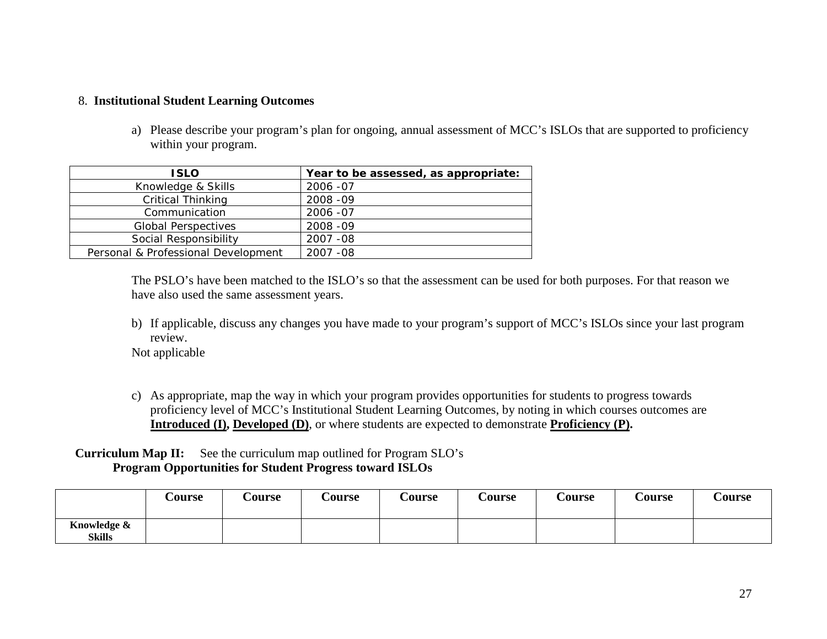#### 8. **Institutional Student Learning Outcomes**

a) Please describe your program's plan for ongoing, annual assessment of MCC's ISLOs that are supported to proficiency within your program.

| <b>ISLO</b>                         | Year to be assessed, as appropriate: |
|-------------------------------------|--------------------------------------|
| Knowledge & Skills                  | 2006 - 07                            |
| <b>Critical Thinking</b>            | 2008 - 09                            |
| Communication                       | 2006 - 07                            |
| <b>Global Perspectives</b>          | 2008 - 09                            |
| Social Responsibility               | 2007 - 08                            |
| Personal & Professional Development | 2007 - 08                            |

The PSLO's have been matched to the ISLO's so that the assessment can be used for both purposes. For that reason we have also used the same assessment years.

b) If applicable, discuss any changes you have made to your program's support of MCC's ISLOs since your last program review.

Not applicable

c) As appropriate, map the way in which your program provides opportunities for students to progress towards proficiency level of MCC's Institutional Student Learning Outcomes, by noting in which courses outcomes are **Introduced (I), Developed (D)**, or where students are expected to demonstrate **Proficiency (P).**

# **Curriculum Map II:** See the curriculum map outlined for Program SLO's **Program Opportunities for Student Progress toward ISLOs**

|                              | <b>Course</b> | <b>Course</b> | <b>Course</b> | <b>Course</b> | <b>Course</b> | <b>Course</b> | <b>Course</b> | <b>Course</b> |
|------------------------------|---------------|---------------|---------------|---------------|---------------|---------------|---------------|---------------|
| Knowledge &<br><b>Skills</b> |               |               |               |               |               |               |               |               |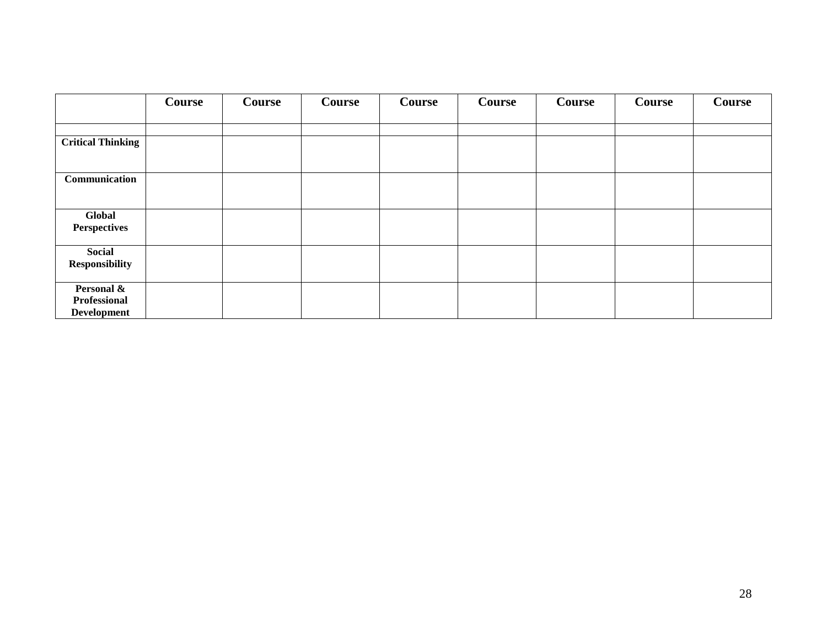|                          | Course | Course | Course | Course | Course | Course | Course | Course |
|--------------------------|--------|--------|--------|--------|--------|--------|--------|--------|
|                          |        |        |        |        |        |        |        |        |
|                          |        |        |        |        |        |        |        |        |
| <b>Critical Thinking</b> |        |        |        |        |        |        |        |        |
|                          |        |        |        |        |        |        |        |        |
| Communication            |        |        |        |        |        |        |        |        |
|                          |        |        |        |        |        |        |        |        |
|                          |        |        |        |        |        |        |        |        |
| Global                   |        |        |        |        |        |        |        |        |
| <b>Perspectives</b>      |        |        |        |        |        |        |        |        |
|                          |        |        |        |        |        |        |        |        |
| Social                   |        |        |        |        |        |        |        |        |
| <b>Responsibility</b>    |        |        |        |        |        |        |        |        |
| Personal &               |        |        |        |        |        |        |        |        |
| Professional             |        |        |        |        |        |        |        |        |
| <b>Development</b>       |        |        |        |        |        |        |        |        |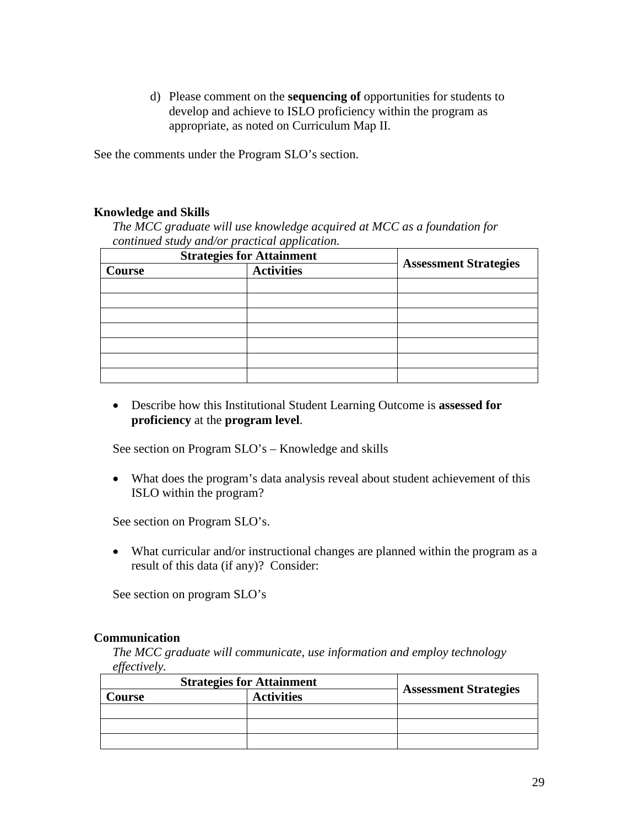d) Please comment on the **sequencing of** opportunities for students to develop and achieve to ISLO proficiency within the program as appropriate, as noted on Curriculum Map II.

See the comments under the Program SLO's section.

#### **Knowledge and Skills**

*The MCC graduate will use knowledge acquired at MCC as a foundation for continued study and/or practical application.* 

| <b>Strategies for Attainment</b> |                   |                              |
|----------------------------------|-------------------|------------------------------|
| Course                           | <b>Activities</b> | <b>Assessment Strategies</b> |
|                                  |                   |                              |
|                                  |                   |                              |
|                                  |                   |                              |
|                                  |                   |                              |
|                                  |                   |                              |
|                                  |                   |                              |
|                                  |                   |                              |

• Describe how this Institutional Student Learning Outcome is **assessed for proficiency** at the **program level**.

See section on Program SLO's – Knowledge and skills

• What does the program's data analysis reveal about student achievement of this ISLO within the program?

See section on Program SLO's.

• What curricular and/or instructional changes are planned within the program as a result of this data (if any)? Consider:

See section on program SLO's

#### **Communication**

*The MCC graduate will communicate, use information and employ technology effectively.*

| <b>Strategies for Attainment</b> |                   |                              |
|----------------------------------|-------------------|------------------------------|
| <b>Course</b>                    | <b>Activities</b> | <b>Assessment Strategies</b> |
|                                  |                   |                              |
|                                  |                   |                              |
|                                  |                   |                              |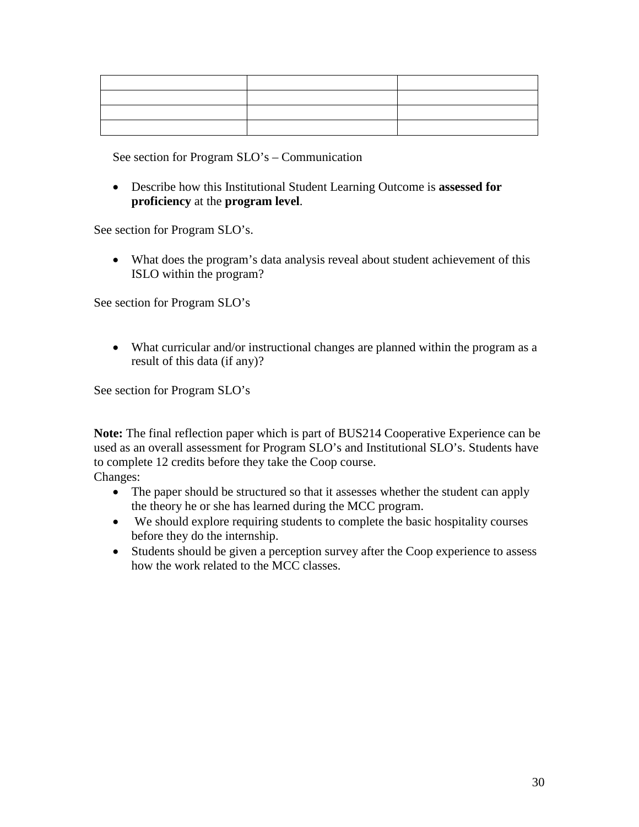See section for Program SLO's – Communication

• Describe how this Institutional Student Learning Outcome is **assessed for proficiency** at the **program level**.

See section for Program SLO's.

• What does the program's data analysis reveal about student achievement of this ISLO within the program?

See section for Program SLO's

• What curricular and/or instructional changes are planned within the program as a result of this data (if any)?

See section for Program SLO's

**Note:** The final reflection paper which is part of BUS214 Cooperative Experience can be used as an overall assessment for Program SLO's and Institutional SLO's. Students have to complete 12 credits before they take the Coop course. Changes:

- The paper should be structured so that it assesses whether the student can apply the theory he or she has learned during the MCC program.
- We should explore requiring students to complete the basic hospitality courses before they do the internship.
- Students should be given a perception survey after the Coop experience to assess how the work related to the MCC classes.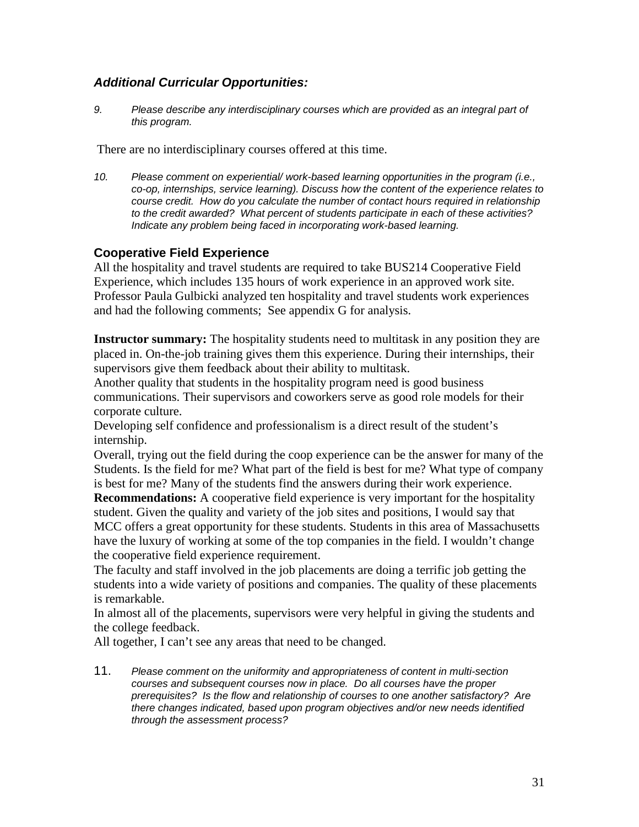# *Additional Curricular Opportunities:*

*9. Please describe any interdisciplinary courses which are provided as an integral part of this program.* 

There are no interdisciplinary courses offered at this time.

*10. Please comment on experiential/ work-based learning opportunities in the program (i.e., co-op, internships, service learning). Discuss how the content of the experience relates to course credit. How do you calculate the number of contact hours required in relationship to the credit awarded? What percent of students participate in each of these activities? Indicate any problem being faced in incorporating work-based learning.* 

# **Cooperative Field Experience**

All the hospitality and travel students are required to take BUS214 Cooperative Field Experience, which includes 135 hours of work experience in an approved work site. Professor Paula Gulbicki analyzed ten hospitality and travel students work experiences and had the following comments; See appendix G for analysis.

**Instructor summary:** The hospitality students need to multitask in any position they are placed in. On-the-job training gives them this experience. During their internships, their supervisors give them feedback about their ability to multitask.

Another quality that students in the hospitality program need is good business communications. Their supervisors and coworkers serve as good role models for their corporate culture.

Developing self confidence and professionalism is a direct result of the student's internship.

Overall, trying out the field during the coop experience can be the answer for many of the Students. Is the field for me? What part of the field is best for me? What type of company is best for me? Many of the students find the answers during their work experience.

**Recommendations:** A cooperative field experience is very important for the hospitality student. Given the quality and variety of the job sites and positions, I would say that MCC offers a great opportunity for these students. Students in this area of Massachusetts have the luxury of working at some of the top companies in the field. I wouldn't change the cooperative field experience requirement.

The faculty and staff involved in the job placements are doing a terrific job getting the students into a wide variety of positions and companies. The quality of these placements is remarkable.

In almost all of the placements, supervisors were very helpful in giving the students and the college feedback.

All together, I can't see any areas that need to be changed.

11. *Please comment on the uniformity and appropriateness of content in multi-section courses and subsequent courses now in place. Do all courses have the proper prerequisites? Is the flow and relationship of courses to one another satisfactory? Are there changes indicated, based upon program objectives and/or new needs identified through the assessment process?*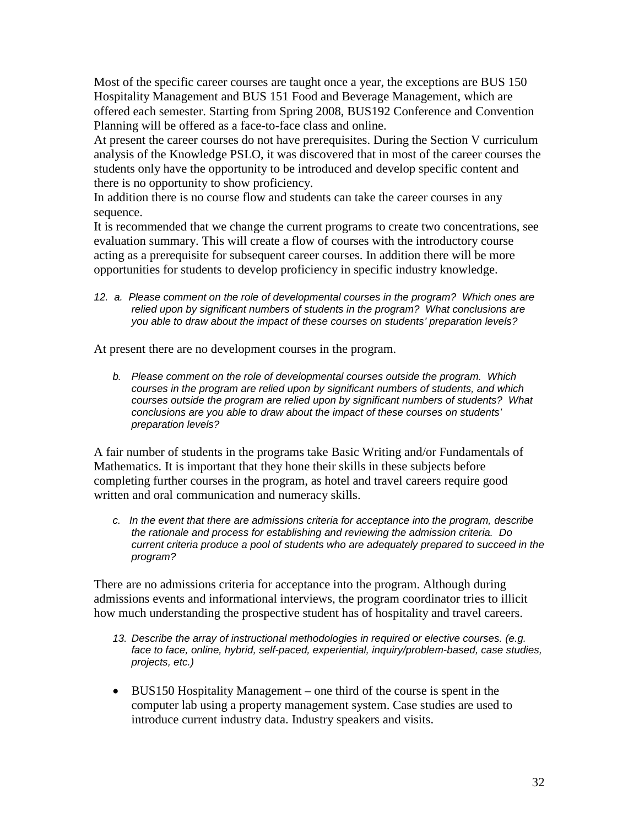Most of the specific career courses are taught once a year, the exceptions are BUS 150 Hospitality Management and BUS 151 Food and Beverage Management, which are offered each semester. Starting from Spring 2008, BUS192 Conference and Convention Planning will be offered as a face-to-face class and online.

At present the career courses do not have prerequisites. During the Section V curriculum analysis of the Knowledge PSLO, it was discovered that in most of the career courses the students only have the opportunity to be introduced and develop specific content and there is no opportunity to show proficiency.

In addition there is no course flow and students can take the career courses in any sequence.

It is recommended that we change the current programs to create two concentrations, see evaluation summary. This will create a flow of courses with the introductory course acting as a prerequisite for subsequent career courses. In addition there will be more opportunities for students to develop proficiency in specific industry knowledge.

*12. a. Please comment on the role of developmental courses in the program? Which ones are relied upon by significant numbers of students in the program? What conclusions are you able to draw about the impact of these courses on students' preparation levels?* 

At present there are no development courses in the program.

*b. Please comment on the role of developmental courses outside the program. Which courses in the program are relied upon by significant numbers of students, and which courses outside the program are relied upon by significant numbers of students? What conclusions are you able to draw about the impact of these courses on students' preparation levels?*

A fair number of students in the programs take Basic Writing and/or Fundamentals of Mathematics. It is important that they hone their skills in these subjects before completing further courses in the program, as hotel and travel careers require good written and oral communication and numeracy skills.

*c. In the event that there are admissions criteria for acceptance into the program, describe the rationale and process for establishing and reviewing the admission criteria. Do current criteria produce a pool of students who are adequately prepared to succeed in the program?*

There are no admissions criteria for acceptance into the program. Although during admissions events and informational interviews, the program coordinator tries to illicit how much understanding the prospective student has of hospitality and travel careers.

- *13. Describe the array of instructional methodologies in required or elective courses. (e.g. face to face, online, hybrid, self-paced, experiential, inquiry/problem-based, case studies, projects, etc.)*
- BUS150 Hospitality Management one third of the course is spent in the computer lab using a property management system. Case studies are used to introduce current industry data. Industry speakers and visits.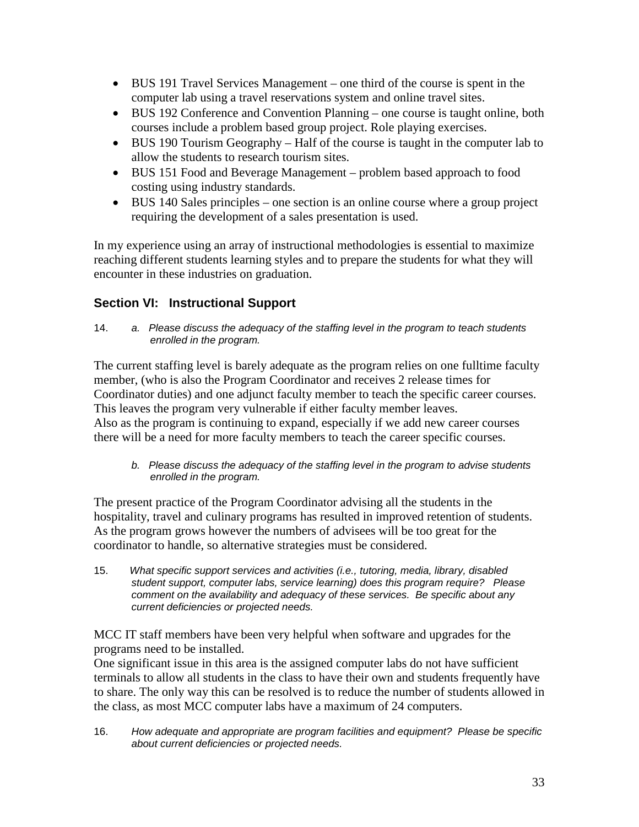- BUS 191 Travel Services Management one third of the course is spent in the computer lab using a travel reservations system and online travel sites.
- BUS 192 Conference and Convention Planning one course is taught online, both courses include a problem based group project. Role playing exercises.
- BUS 190 Tourism Geography Half of the course is taught in the computer lab to allow the students to research tourism sites.
- BUS 151 Food and Beverage Management problem based approach to food costing using industry standards.
- BUS 140 Sales principles one section is an online course where a group project requiring the development of a sales presentation is used.

In my experience using an array of instructional methodologies is essential to maximize reaching different students learning styles and to prepare the students for what they will encounter in these industries on graduation.

# **Section VI: Instructional Support**

14. *a. Please discuss the adequacy of the staffing level in the program to teach students enrolled in the program.*

The current staffing level is barely adequate as the program relies on one fulltime faculty member, (who is also the Program Coordinator and receives 2 release times for Coordinator duties) and one adjunct faculty member to teach the specific career courses. This leaves the program very vulnerable if either faculty member leaves. Also as the program is continuing to expand, especially if we add new career courses there will be a need for more faculty members to teach the career specific courses.

*b. Please discuss the adequacy of the staffing level in the program to advise students enrolled in the program.*

The present practice of the Program Coordinator advising all the students in the hospitality, travel and culinary programs has resulted in improved retention of students. As the program grows however the numbers of advisees will be too great for the coordinator to handle, so alternative strategies must be considered.

15. *What specific support services and activities (i.e., tutoring, media, library, disabled student support, computer labs, service learning) does this program require? Please comment on the availability and adequacy of these services. Be specific about any current deficiencies or projected needs.*

MCC IT staff members have been very helpful when software and upgrades for the programs need to be installed.

One significant issue in this area is the assigned computer labs do not have sufficient terminals to allow all students in the class to have their own and students frequently have to share. The only way this can be resolved is to reduce the number of students allowed in the class, as most MCC computer labs have a maximum of 24 computers.

16. *How adequate and appropriate are program facilities and equipment? Please be specific about current deficiencies or projected needs.*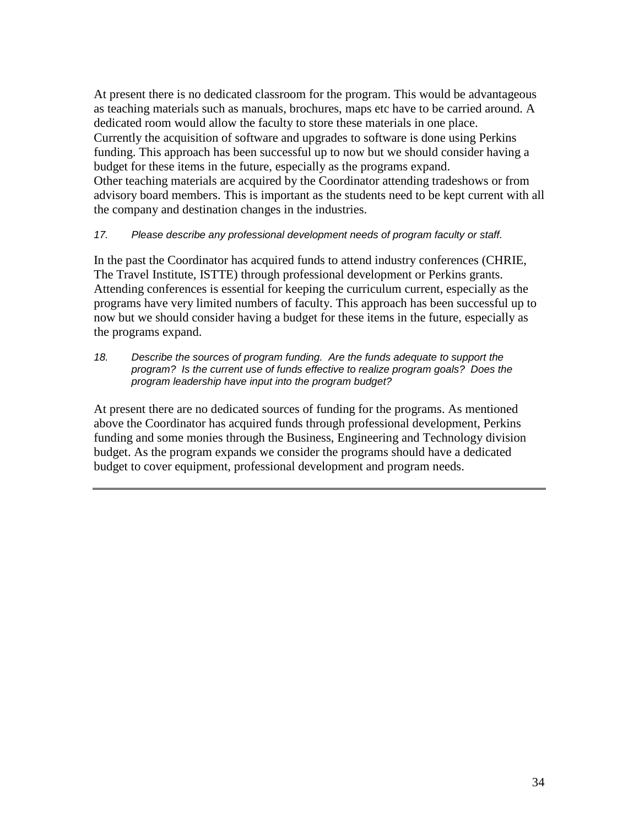At present there is no dedicated classroom for the program. This would be advantageous as teaching materials such as manuals, brochures, maps etc have to be carried around. A dedicated room would allow the faculty to store these materials in one place. Currently the acquisition of software and upgrades to software is done using Perkins funding. This approach has been successful up to now but we should consider having a budget for these items in the future, especially as the programs expand. Other teaching materials are acquired by the Coordinator attending tradeshows or from advisory board members. This is important as the students need to be kept current with all the company and destination changes in the industries.

#### *17. Please describe any professional development needs of program faculty or staff.*

In the past the Coordinator has acquired funds to attend industry conferences (CHRIE, The Travel Institute, ISTTE) through professional development or Perkins grants. Attending conferences is essential for keeping the curriculum current, especially as the programs have very limited numbers of faculty. This approach has been successful up to now but we should consider having a budget for these items in the future, especially as the programs expand.

*18. Describe the sources of program funding. Are the funds adequate to support the program? Is the current use of funds effective to realize program goals? Does the program leadership have input into the program budget?*

At present there are no dedicated sources of funding for the programs. As mentioned above the Coordinator has acquired funds through professional development, Perkins funding and some monies through the Business, Engineering and Technology division budget. As the program expands we consider the programs should have a dedicated budget to cover equipment, professional development and program needs.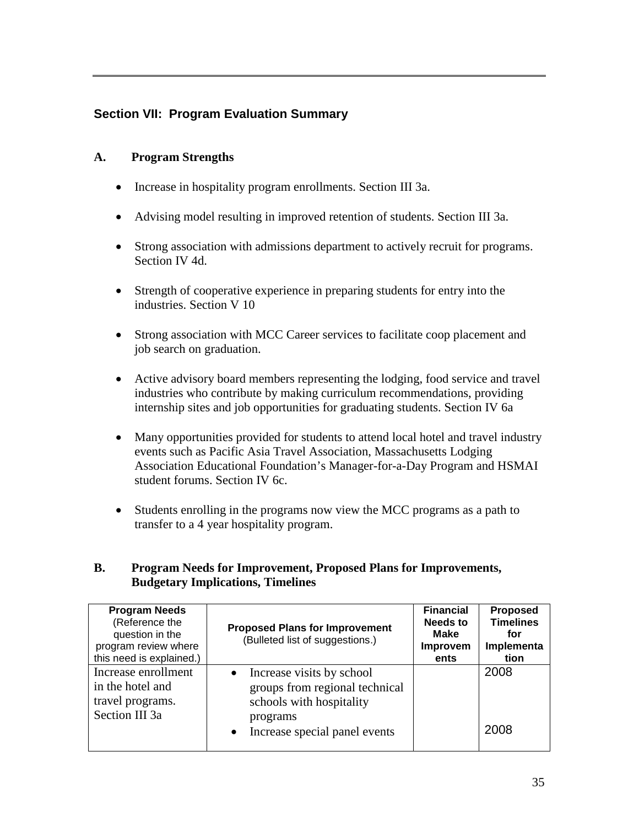# **Section VII: Program Evaluation Summary**

# **A. Program Strengths**

- Increase in hospitality program enrollments. Section III 3a.
- Advising model resulting in improved retention of students. Section III 3a.
- Strong association with admissions department to actively recruit for programs. Section IV 4d.
- Strength of cooperative experience in preparing students for entry into the industries. Section V 10
- Strong association with MCC Career services to facilitate coop placement and job search on graduation.
- Active advisory board members representing the lodging, food service and travel industries who contribute by making curriculum recommendations, providing internship sites and job opportunities for graduating students. Section IV 6a
- Many opportunities provided for students to attend local hotel and travel industry events such as Pacific Asia Travel Association, Massachusetts Lodging Association Educational Foundation's Manager-for-a-Day Program and HSMAI student forums. Section IV 6c.
- Students enrolling in the programs now view the MCC programs as a path to transfer to a 4 year hospitality program.

# **B. Program Needs for Improvement, Proposed Plans for Improvements, Budgetary Implications, Timelines**

| <b>Program Needs</b><br>(Reference the<br>question in the<br>program review where<br>this need is explained.) | <b>Proposed Plans for Improvement</b><br>(Bulleted list of suggestions.)                                                                                       | <b>Financial</b><br>Needs to<br>Make<br>Improvem<br>ents | <b>Proposed</b><br><b>Timelines</b><br>for<br>Implementa<br>tion |
|---------------------------------------------------------------------------------------------------------------|----------------------------------------------------------------------------------------------------------------------------------------------------------------|----------------------------------------------------------|------------------------------------------------------------------|
| Increase enrollment<br>in the hotel and<br>travel programs.<br>Section III 3a                                 | Increase visits by school<br>$\bullet$<br>groups from regional technical<br>schools with hospitality<br>programs<br>Increase special panel events<br>$\bullet$ |                                                          | 2008<br>2008                                                     |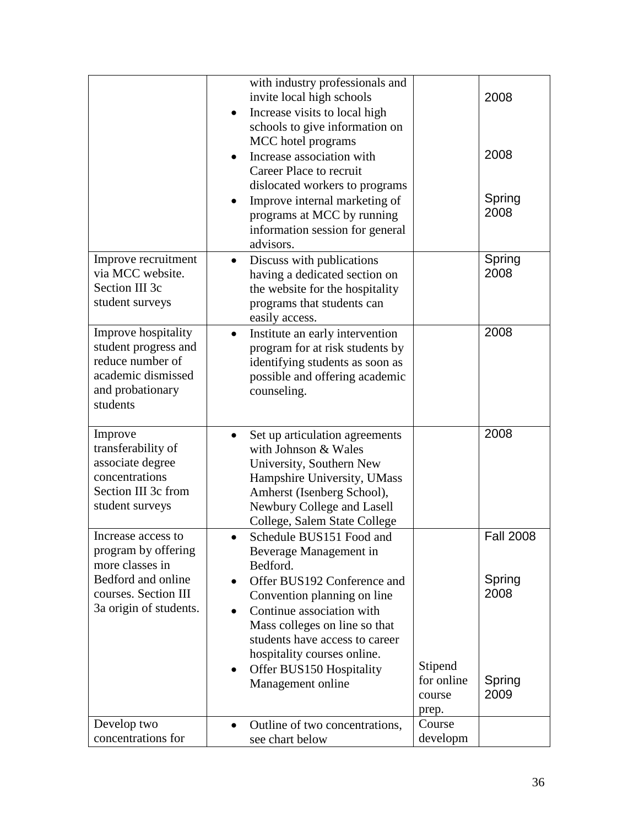|                                                                                                                                      | with industry professionals and<br>invite local high schools<br>Increase visits to local high<br>schools to give information on<br>MCC hotel programs<br>Increase association with<br>Career Place to recruit<br>dislocated workers to programs<br>Improve internal marketing of<br>programs at MCC by running<br>information session for general<br>advisors. |                                          | 2008<br>2008<br>Spring<br>2008                       |
|--------------------------------------------------------------------------------------------------------------------------------------|----------------------------------------------------------------------------------------------------------------------------------------------------------------------------------------------------------------------------------------------------------------------------------------------------------------------------------------------------------------|------------------------------------------|------------------------------------------------------|
| Improve recruitment<br>via MCC website.<br>Section III 3c<br>student surveys                                                         | Discuss with publications<br>$\bullet$<br>having a dedicated section on<br>the website for the hospitality<br>programs that students can<br>easily access.                                                                                                                                                                                                     |                                          | Spring<br>2008                                       |
| Improve hospitality<br>student progress and<br>reduce number of<br>academic dismissed<br>and probationary<br>students                | Institute an early intervention<br>$\bullet$<br>program for at risk students by<br>identifying students as soon as<br>possible and offering academic<br>counseling.                                                                                                                                                                                            |                                          | 2008                                                 |
| Improve<br>transferability of<br>associate degree<br>concentrations<br>Section III 3c from<br>student surveys                        | Set up articulation agreements<br>with Johnson & Wales<br>University, Southern New<br>Hampshire University, UMass<br>Amherst (Isenberg School),<br>Newbury College and Lasell<br>College, Salem State College                                                                                                                                                  |                                          | 2008                                                 |
| Increase access to<br>program by offering<br>more classes in<br>Bedford and online<br>courses. Section III<br>3a origin of students. | Schedule BUS151 Food and<br>$\bullet$<br>Beverage Management in<br>Bedford.<br>Offer BUS192 Conference and<br>Convention planning on line<br>Continue association with<br>$\bullet$<br>Mass colleges on line so that<br>students have access to career<br>hospitality courses online.<br>Offer BUS150 Hospitality<br>$\bullet$<br>Management online            | Stipend<br>for online<br>course<br>prep. | <b>Fall 2008</b><br>Spring<br>2008<br>Spring<br>2009 |
| Develop two<br>concentrations for                                                                                                    | Outline of two concentrations,<br>$\bullet$<br>see chart below                                                                                                                                                                                                                                                                                                 | Course<br>developm                       |                                                      |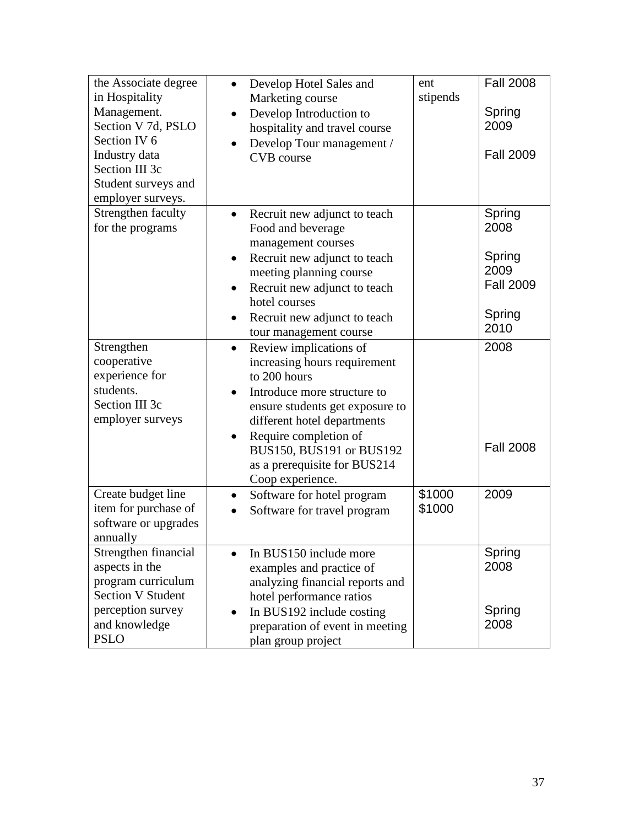| the Associate degree<br>in Hospitality<br>Management.<br>Section V 7d, PSLO<br>Section IV 6<br>Industry data<br>Section III 3c<br>Student surveys and<br>employer surveys. | Develop Hotel Sales and<br>$\bullet$<br>Marketing course<br>Develop Introduction to<br>$\bullet$<br>hospitality and travel course<br>Develop Tour management /<br><b>CVB</b> course                                                                                                                                     | ent<br>stipends  | <b>Fall 2008</b><br>Spring<br>2009<br><b>Fall 2009</b>                 |
|----------------------------------------------------------------------------------------------------------------------------------------------------------------------------|-------------------------------------------------------------------------------------------------------------------------------------------------------------------------------------------------------------------------------------------------------------------------------------------------------------------------|------------------|------------------------------------------------------------------------|
| Strengthen faculty<br>for the programs                                                                                                                                     | Recruit new adjunct to teach<br>$\bullet$<br>Food and beverage<br>management courses<br>Recruit new adjunct to teach<br>$\bullet$<br>meeting planning course<br>Recruit new adjunct to teach<br>$\bullet$<br>hotel courses<br>Recruit new adjunct to teach<br>tour management course                                    |                  | Spring<br>2008<br>Spring<br>2009<br><b>Fall 2009</b><br>Spring<br>2010 |
| Strengthen<br>cooperative<br>experience for<br>students.<br>Section III 3c<br>employer surveys                                                                             | Review implications of<br>$\bullet$<br>increasing hours requirement<br>to 200 hours<br>Introduce more structure to<br>$\bullet$<br>ensure students get exposure to<br>different hotel departments<br>Require completion of<br>$\bullet$<br>BUS150, BUS191 or BUS192<br>as a prerequisite for BUS214<br>Coop experience. |                  | 2008<br><b>Fall 2008</b>                                               |
| Create budget line<br>item for purchase of<br>software or upgrades<br>annually                                                                                             | Software for hotel program<br>٠<br>Software for travel program                                                                                                                                                                                                                                                          | \$1000<br>\$1000 | 2009                                                                   |
| Strengthen financial<br>aspects in the<br>program curriculum<br><b>Section V Student</b><br>perception survey<br>and knowledge<br><b>PSLO</b>                              | In BUS150 include more<br>$\bullet$<br>examples and practice of<br>analyzing financial reports and<br>hotel performance ratios<br>In BUS192 include costing<br>$\bullet$<br>preparation of event in meeting<br>plan group project                                                                                       |                  | Spring<br>2008<br>Spring<br>2008                                       |